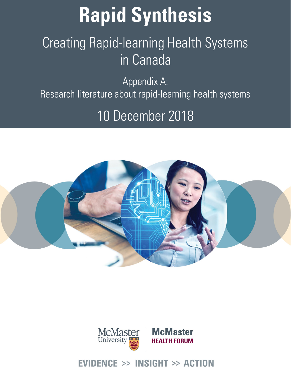# **Rapid Synthesis**

## Creating Rapid-learning Health Systems in Canada

Appendix A: Research literature about rapid-learning health systems

### 10 December 2018





### Evidence >> Insight >> Action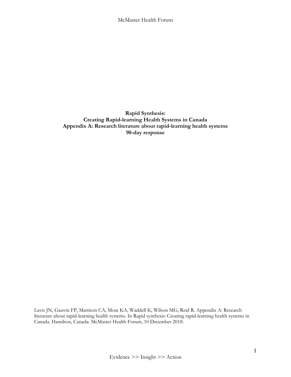**Rapid Synthesis: Creating Rapid-learning Health Systems in Canada Appendix A: Research literature about rapid-learning health systems 90-day response**

Lavis JN, Gauvin FP, Mattison CA, Moat KA, Waddell K, Wilson MG, Reid R. Appendix A: Research literature about rapid-learning health systems. In Rapid synthesis: Creating rapid-learning health systems in Canada. Hamilton, Canada: McMaster Health Forum, 10 December 2018.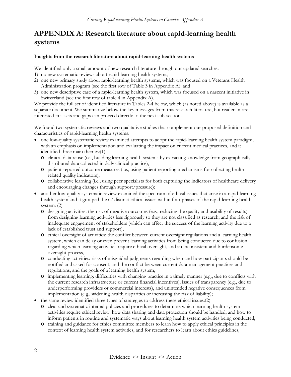#### **APPENDIX A: Research literature about rapid-learning health systems**

#### **Insights from the research literature about rapid-learning health systems**

We identified only a small amount of new research literature through our updated searches:

- 1) no new systematic reviews about rapid-learning health systems;
- 2) one new primary study about rapid-learning health systems, which was focused on a Veterans Health Administration program (see the first row of Table 3 in Appendix A); and
- 3) one new descriptive case of a rapid-learning health system, which was focused on a nascent initiative in Switzerland (see the first row of table 4 in Appendix A).

We provide the full set of identified literature in Tables 2-4 below, which (as noted above) is available as a separate document. We summarize below the key messages from this research literature, but readers more interested in assets and gaps can proceed directly to the next sub-section.

We found two systematic reviews and two qualitative studies that complement our proposed definition and characteristics of rapid-learning health systems:

- one low-quality systematic review examined attempts to adopt the rapid-learning health system paradigm, with an emphasis on implementation and evaluating the impact on current medical practices, and it identified three main themes:(1)
	- o clinical data reuse (i.e., building learning health systems by extracting knowledge from geographically distributed data collected in daily clinical practice),
	- o patient-reported outcome measures (i.e., using patient reporting mechanisms for collecting healthrelated quality indicators),
	- o collaborative learning (i.e., using peer specialists for both capturing the indicators of healthcare delivery and encouraging changes through [support/pressure\)](https://www.sciencedirect.com/topics/medicine-and-dentistry/pressure-support-ventilation);
- another low-quality systematic review examined the spectrum of ethical issues that arise in a rapid-learning health system and it grouped the 67 distinct ethical issues within four phases of the rapid-learning health system: (2)
	- o designing activities: the risk of negative outcomes (e.g., reducing the quality and usability of results) from designing learning activities less rigorously so they are not classified as research, and the risk of inadequate engagement of stakeholders (which can affect the success of the learning activity due to a lack of established trust and support),
	- o ethical oversight of activities: the conflict between current oversight regulations and a learning health system, which can delay or even prevent learning activities from being conducted due to confusion regarding which learning activities require ethical oversight, and an inconsistent and burdensome oversight process,
	- o conducting activities: risks of misguided judgments regarding when and how participants should be notified and asked for consent, and the conflict between current data-management practices and regulations, and the goals of a learning health system,
	- o implementing learning: difficulties with changing practice in a timely manner (e.g., due to conflicts with the current research infrastructure or current financial incentives), issues of transparency (e.g., due to underperforming providers or commercial interests), and unintended negative consequences from implementation (e.g., widening health disparities or increasing the risk of liability);
- the same review identified three types of strategies to address these ethical issues:(2)
	- o clear and systematic internal policies and procedures to determine which learning health system activities require ethical review, how data sharing and data protection should be handled, and how to inform patients in routine and systematic ways about learning health system activities being conducted,
	- o training and guidance for ethics committee members to learn how to apply ethical principles in the context of learning health system activities, and for researchers to learn about ethics guidelines,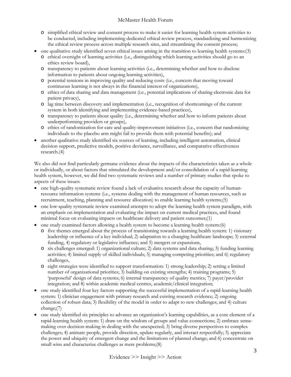- o simplified ethical review and consent process to make it easier for learning health system activities to be conducted, including implementing dedicated ethical review process, standardizing and harmonizing the ethical review process across multiple research sites, and streamlining the consent process;
- one qualitative study identified seven ethical issues arising in the transition to learning health systems:(3)
	- o ethical oversight of learning activities (i.e., distinguishing which learning activities should go to an ethics review board),
	- o transparency to patients about learning activities (i.e., determining whether and how to disclose information to patients about ongoing learning activities),
	- o potential tensions in improving quality and reducing costs (i.e., concern that moving toward continuous learning is not always in the financial interest of organizations),
	- o ethics of data sharing and data management (i.e., potential implications of sharing electronic data for patient privacy),
	- o lag time between discovery and implementation (i.e., recognition of shortcomings of the current system in both identifying and implementing evidence-based practices),
	- o transparency to patients about quality (i.e., determining whether and how to inform patients about underperforming providers or groups),
	- o ethics of randomization for care and quality-improvement initiatives (i.e., concern that randomizing individuals to the placebo arm might fail to provide them with potential benefits); and
- another qualitative study identified six sources of learning, including intelligent automation, clinical decision support, predictive models, positive deviance, surveillance, and comparative effectiveness research.(4)

We also did not find particularly germane evidence about the impacts of the characteristics taken as a whole or individually, or about factors that stimulated the development and/or consolidation of a rapid-learning health system, however, we did find two systematic reviews and a number of primary studies that spoke to aspects of these issues:

- one high-quality systematic review found a lack of evaluative research about the capacity of humanresource information systems (i.e., systems dealing with the management of human resources, such as recruitment, teaching, planning and resource allocation) to enable learning health systems;(5)
- one low-quality systematic review examined attempts to adopt the learning health system paradigm, with an emphasis on implementation and evaluating the impact on current medical practices, and found minimal focus on evaluating impacts on healthcare delivery and patient outcomes;(1)
- one study examined factors allowing a health system to become a learning health system:(6)
	- o five themes emerged about the process of transitioning towards a learning health system: 1) visionary leadership or influence of a key individual; 2) adaptation to a changing healthcare landscape; 3) external funding, 4) regulatory or legislative influence; and 5) mergers or expansions,
	- o six challenges emerged: 1) organizational culture; 2) data systems and data sharing; 3) funding learning activities; 4) limited supply of skilled individuals; 5) managing competing priorities; and 6) regulatory challenges,
	- o eight strategies were identified to support transformation: 1) strong leadership; 2) setting a limited number of organizational priorities; 3) building on existing strengths; 4) training programs; 5) 'purposeful' design of data systems; 6) internal transparency of quality metrics; 7) payer/provider integration; and 8) within academic medical centres, academic/clinical integration;
- one study identified four key factors supporting the successful implementation of a rapid-learning health system: 1) clinician engagement with primary research and existing research evidence; 2) ongoing collection of robust data; 3) flexibility of the model in order to adapt to new challenges; and 4) culture change;(7)
- one study identified six principles to advance an organization's learning capabilities, as a core element of a rapid-learning health system: 1) draw on the wisdom of groups and value connections; 2) embrace sensemaking over decision-making in dealing with the unexpected; 3) bring diverse perspectives to complex challenges; 4) animate people, provide direction, update regularly, and interact respectfully; 5) appreciate the power and ubiquity of emergent change and the limitations of planned change; and 6) concentrate on small wins and characterize challenges as mere problems;(8)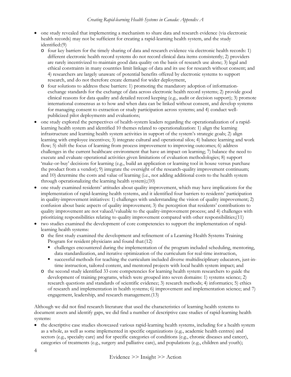#### *Creating Rapid-learning Health Systems in Canada: Appendix A*

- one study revealed that implementing a mechanism to share data and research evidence (via electronic health records) may not be sufficient for creating a rapid-learning health system, and the study identified:(9)
	- o four key barriers for the timely sharing of data and research evidence via electronic health records: 1) different electronic health record systems do not record clinical data items consistently; 2) providers are rarely incentivized to maintain good data quality on the basis of research use alone; 3) legal and ethical constraints in many countries limit linkage of data and its use for research without consent; and 4) researchers are largely unaware of potential benefits offered by electronic systems to support research, and do not therefore create demand for wider deployment,
	- o four solutions to address these barriers: 1) promoting the mandatory adoption of informationexchange standards for the exchange of data across electronic health record systems; 2) provide good clinical reasons for data quality and detailed record keeping (e.g., audit or decision support); 3) promote international consensus as to how and when data can be linked without consent, and develop systems for managing consent to extraction or study participation across systems; and 4) conduct wellpublicized pilot deployments and evaluations;
- one study explored the perspectives of health-system leaders regarding the operationalization of a rapidlearning health system and identified 10 themes related to operationalization: 1) align the learning infrastructure and learning health system activities in support of the system's strategic goals; 2) align learning with employee incentives; 3) integrate cultural and operational silos; 4) balance learning and work flow; 5) shift the focus of learning from process improvement to improving outcomes; 6) address challenges in the current healthcare environment that have an impact on learning; 7) balance the need to execute and evaluate operational activities given limitations of evaluation methodologies; 8) support 'make-or-buy' decisions for learning (e.g., build an application or learning tool in house versus purchase the product from a vendor); 9) integrate the oversight of the research-quality improvement continuum; and 10) determine the costs and value of learning (i.e., not adding additional costs to the health system through operationalizing the learning health system);(10)
- one study examined residents' attitudes about quality improvement, which may have implications for the implementation of rapid-learning health systems, and it identified four barriers to residents' participation in quality-improvement initiatives: 1) challenges with understanding the vision of quality improvement; 2) confusion about basic aspects of quality improvement; 3) the perception that residents' contributions to quality improvement are not valued/valuable to the quality-improvement process; and 4) challenges with prioritizing responsibilities relating to quality improvement compared with other responsibilities;(11)
- two studies examined the development of core competencies to support the implementation of rapidlearning health systems:
	- o the first study examined the development and refinement of a Learning Health Systems Training Program for resident physicians and found that:(12)
		- challenges encountered during the implementation of the program included scheduling, mentoring, data standardization, and iterative optimization of the curriculum for real-time instruction,
		- successful methods for teaching the curriculum included diverse multidisciplinary educators, just-intime instruction, tailored content, and mentored projects with local health system impact; and
	- o the second study identified 33 core competencies for learning health system researchers to guide the development of training programs, which were grouped into seven domains: 1) systems science; 2) research questions and standards of scientific evidence; 3) research methods; 4) informatics; 5) ethics of research and implementation in health systems; 6) improvement and implementation science; and 7) engagement, leadership, and research management.(13)

Although we did not find research literature that used the characteristics of learning health systems to document assets and identify gaps, we did find a number of descriptive case studies of rapid-learning health systems:

• the descriptive case studies showcased various rapid-learning health systems, including for a health system as a whole, as well as some implemented in specific organizations (e.g., academic health centres) and sectors (e.g., specialty care) and for specific categories of conditions (e.g., chronic diseases and cancer), categories of treatments (e.g., surgery and palliative care), and populations (e.g., children and youth);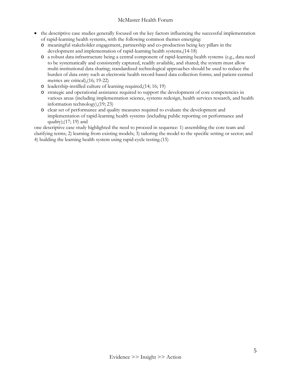- the descriptive case studies generally focused on the key factors influencing the successful implementation of rapid-learning health systems, with the following common themes emerging:
	- o meaningful stakeholder engagement, partnership and co-production being key pillars in the development and implementation of rapid-learning health systems,(14-18)
	- o a robust data infrastructure being a central component of rapid-learning health systems (e.g., data need to be systematically and consistently captured, readily available, and shared; the system must allow multi-institutional data sharing; standardized technological approaches should be used to reduce the burden of data entry such as electronic health record-based data collection forms; and patient-centred metrics are critical),(16; 19-22)
	- o leadership-instilled culture of learning required,(14; 16; 19)
	- o strategic and operational assistance required to support the development of core competencies in various areas (including implementation science, systems redesign, health services research, and health information technology),(19; 23)
	- o clear set of performance and quality measures required to evaluate the development and implementation of rapid-learning health systems (including public reporting on performance and quality);(17; 19) and

one descriptive case study highlighted the need to proceed in sequence: 1) assembling the core team and clarifying terms; 2) learning from existing models; 3) tailoring the model to the specific setting or sector; and 4) building the learning health system using rapid-cycle testing.(15)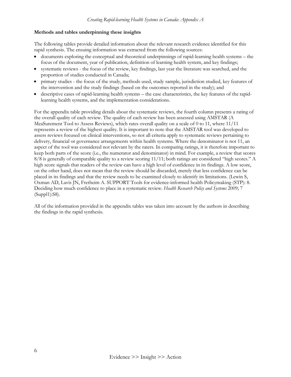#### **Methods and tables underpinning these insights**

The following tables provide detailed information about the relevant research evidence identified for this rapid synthesis. The ensuing information was extracted from the following sources:

- documents exploring the conceptual and theoretical underpinnings of rapid-learning health systems the focus of the document, year of publication, definition of learning health system, and key findings;
- systematic reviews the focus of the review, key findings, last year the literature was searched, and the proportion of studies conducted in Canada;
- primary studies the focus of the study, methods used, study sample, jurisdiction studied, key features of the intervention and the study findings (based on the outcomes reported in the study); and
- descriptive cases of rapid-learning health systems the case characteristics, the key features of the rapidlearning health systems, and the implementation considerations.

For the appendix table providing details about the systematic reviews, the fourth column presents a rating of the overall quality of each review. The quality of each review has been assessed using AMSTAR (A MeaSurement Tool to Assess Reviews), which rates overall quality on a scale of 0 to 11, where 11/11 represents a review of the highest quality. It is important to note that the AMSTAR tool was developed to assess reviews focused on clinical interventions, so not all criteria apply to systematic reviews pertaining to delivery, financial or governance arrangements within health systems. Where the denominator is not 11, an aspect of the tool was considered not relevant by the raters. In comparing ratings, it is therefore important to keep both parts of the score (i.e., the numerator and denominator) in mind. For example, a review that scores 8/8 is generally of comparable quality to a review scoring 11/11; both ratings are considered "high scores." A high score signals that readers of the review can have a high level of confidence in its findings. A low score, on the other hand, does not mean that the review should be discarded, merely that less confidence can be placed in its findings and that the review needs to be examined closely to identify its limitations. (Lewin S, Oxman AD, Lavis JN, Fretheim A. SUPPORT Tools for evidence-informed health Policymaking (STP): 8. Deciding how much confidence to place in a systematic review. *Health Research Policy and Systems* 2009; 7 (Suppl1):S8).

All of the information provided in the appendix tables was taken into account by the authors in describing the findings in the rapid synthesis.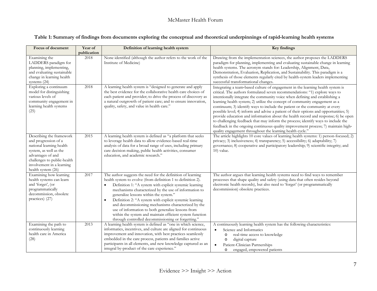|  |  | Table 1: Summary of findings from documents exploring the conceptual and theoretical underpinnings of rapid-learning health systems |  |
|--|--|-------------------------------------------------------------------------------------------------------------------------------------|--|
|  |  |                                                                                                                                     |  |

| Focus of document                                                                                                                                                                                             | Year of<br>publication | Definition of learning health system                                                                                                                                                                                                                                                                                                                                                                                                                                                                                                                                                             | <b>Key findings</b>                                                                                                                                                                                                                                                                                                                                                                                                                                                                                                                                                                                                                                                                                                                                                                                                                 |
|---------------------------------------------------------------------------------------------------------------------------------------------------------------------------------------------------------------|------------------------|--------------------------------------------------------------------------------------------------------------------------------------------------------------------------------------------------------------------------------------------------------------------------------------------------------------------------------------------------------------------------------------------------------------------------------------------------------------------------------------------------------------------------------------------------------------------------------------------------|-------------------------------------------------------------------------------------------------------------------------------------------------------------------------------------------------------------------------------------------------------------------------------------------------------------------------------------------------------------------------------------------------------------------------------------------------------------------------------------------------------------------------------------------------------------------------------------------------------------------------------------------------------------------------------------------------------------------------------------------------------------------------------------------------------------------------------------|
| Examining the<br>LADDERS paradigm for<br>planning, implementing,<br>and evaluating sustainable<br>change in learning health<br>systems (24)                                                                   | 2018                   | None identified (although the author refers to the work of the<br>Institute of Medicine)                                                                                                                                                                                                                                                                                                                                                                                                                                                                                                         | Drawing from the implementation sciences, the author proposes the LADDERS<br>paradigm for planning, implementing and evaluating sustainable change in learning<br>health systems. The acronym stands for: Leadership, Alignment, Data,<br>Demonstration, Evaluation, Replication, and Sustainability. This paradigm is a<br>synthesis of those elements regularly cited by health-system leaders implementing<br>successful transformational changes.                                                                                                                                                                                                                                                                                                                                                                               |
| Exploring a continuum<br>model for distinguishing<br>various levels of<br>community engagement in<br>learning health systems<br>(25)                                                                          | 2018                   | A learning health system is "designed to generate and apply<br>the best evidence for the collaborative health care choices of<br>each patient and provider; to drive the process of discovery as<br>a natural outgrowth of patient care; and to ensure innovation,<br>quality, safety, and value in health care."                                                                                                                                                                                                                                                                                | Integrating a team-based culture of engagement in the learning health system is<br>critical. The authors formulated seven recommendations: "1) explore ways to<br>intentionally integrate the community voice when defining and establishing a<br>learning health system; 2) utilize the concept of community engagement as a<br>continuum; 3) identify ways to include the patient or the community at every<br>possible level; 4) inform and advise a patient of their options and opportunities; 5)<br>provide education and information about the health record and response; 6) be open<br>to challenging feedback that may inform the process; identify ways to include the<br>feedback in the ongoing continuous quality improvement process; 7) maintain high-<br>quality engagement throughout the learning health cycle." |
| Describing the framework<br>and progression of a<br>national learning health<br>system, as well as the<br>advantages of and<br>challenges to public-health<br>involvement in a learning<br>health system (26) | 2015                   | A learning health system is defined as "a platform that seeks<br>to leverage health data to allow evidence-based real-time<br>analysis of data for a broad range of uses, including primary<br>care decision making, public health activities, consumer<br>education, and academic research."                                                                                                                                                                                                                                                                                                    | The article highlights 10 core values of learning health systems: 1) person-focused; 2)<br>privacy; 3) inclusiveness; 4) transparency; 5) accessibility; 6) adaptability; 7)<br>governance; 8) cooperative and participatory leadership; 9) scientific integrity; and<br>$10$ ) value.                                                                                                                                                                                                                                                                                                                                                                                                                                                                                                                                              |
| Examining how learning<br>health systems can learn<br>and 'forget', (or<br>programmatically<br>decommission, obsolete<br>practices) (27)                                                                      | 2017                   | The author suggests the need for the definition of learning<br>health system to evolve (from definition 1 to definition 2).<br>Definition 1: "A system with explicit systemic learning<br>$\bullet$<br>mechanisms characterized by the use of information to<br>generalize lessons within the system."<br>Definition 2: "A system with explicit systemic learning<br>and decommissioning mechanisms characterized by the<br>use of information to both generalize lessons from<br>within the system and maintain efficient system function<br>through controlled decommissioning or forgetting." | The author argues that learning health systems need to find ways to remember<br>processes that shape quality and safety (using data that often resides beyond<br>electronic health records), but also need to 'forget' (or programmatically<br>decommission) obsolete practices.                                                                                                                                                                                                                                                                                                                                                                                                                                                                                                                                                    |
| Examining the path to<br>continuously learning<br>health care in America<br>(28)                                                                                                                              | 2013                   | A learning health system is defined as "one in which science,<br>informatics, incentives, and culture are aligned for continuous<br>improvement and innovation, with best practices seamlessly<br>embedded in the care process, patients and families active<br>participants in all elements, and new knowledge captured as an<br>integral by-product of the care experience."                                                                                                                                                                                                                   | A continuously learning health system has the following characteristics:<br>Science and Informatics<br>$\bullet$<br>real-time access to knowledge<br>$\circ$<br>digital capture<br>$\circ$<br>Patient-Clinician Partnerships<br>$\bullet$<br>engaged, empowered patients<br>$\circ$                                                                                                                                                                                                                                                                                                                                                                                                                                                                                                                                                 |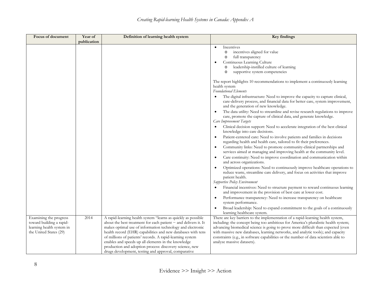| Focus of document         | Year of     | Definition of learning health system                            | Key findings                                                                                                                                  |
|---------------------------|-------------|-----------------------------------------------------------------|-----------------------------------------------------------------------------------------------------------------------------------------------|
|                           | publication |                                                                 |                                                                                                                                               |
|                           |             |                                                                 | Incentives<br>$\bullet$<br>incentives aligned for value                                                                                       |
|                           |             |                                                                 | $\circ$<br>full transparency<br>$\circ$                                                                                                       |
|                           |             |                                                                 | Continuous Learning Culture<br>$\bullet$                                                                                                      |
|                           |             |                                                                 | leadership-instilled culture of learning<br>$\circ$                                                                                           |
|                           |             |                                                                 | supportive system competencies<br>$\circ$                                                                                                     |
|                           |             |                                                                 |                                                                                                                                               |
|                           |             |                                                                 | The report highlights 10 recommendations to implement a continuously learning                                                                 |
|                           |             |                                                                 | health system                                                                                                                                 |
|                           |             |                                                                 | <b>Foundational Elements</b>                                                                                                                  |
|                           |             |                                                                 | The digital infrastructure: Need to improve the capacity to capture clinical,                                                                 |
|                           |             |                                                                 | care-delivery process, and financial data for better care, system improvement,                                                                |
|                           |             |                                                                 | and the generation of new knowledge.                                                                                                          |
|                           |             |                                                                 | The data utility: Need to streamline and revise research regulations to improve<br>$\bullet$                                                  |
|                           |             |                                                                 | care, promote the capture of clinical data, and generate knowledge.<br>Care Improvement Targets                                               |
|                           |             |                                                                 | Clinical decision support: Need to accelerate integration of the best clinical                                                                |
|                           |             |                                                                 | knowledge into care decisions.                                                                                                                |
|                           |             |                                                                 | Patient-centered care: Need to involve patients and families in decisions<br>$\bullet$                                                        |
|                           |             |                                                                 | regarding health and health care, tailored to fit their preferences.                                                                          |
|                           |             |                                                                 | Community links: Need to promote community-clinical partnerships and                                                                          |
|                           |             |                                                                 | services aimed at managing and improving health at the community level.                                                                       |
|                           |             |                                                                 | Care continuity: Need to improve coordination and communication within                                                                        |
|                           |             |                                                                 | and across organizations.                                                                                                                     |
|                           |             |                                                                 | Optimized operations: Need to continuously improve healthcare operations to                                                                   |
|                           |             |                                                                 | reduce waste, streamline care delivery, and focus on activities that improve                                                                  |
|                           |             |                                                                 | patient health.                                                                                                                               |
|                           |             |                                                                 | Supportive Policy Environment                                                                                                                 |
|                           |             |                                                                 | Financial incentives: Need to structure payment to reward continuous learning<br>and improvement in the provision of best care at lower cost. |
|                           |             |                                                                 | Performance transparency: Need to increase transparency on healthcare                                                                         |
|                           |             |                                                                 | system performance.                                                                                                                           |
|                           |             |                                                                 | Broad leadership: Need to expand commitment to the goals of a continuously<br>$\bullet$                                                       |
|                           |             |                                                                 | learning healthcare system.                                                                                                                   |
| Examining the progress    | 2014        | A rapid-learning health system "learns as quickly as possible   | There are key barriers to the implementation of a rapid-learning health system,                                                               |
| toward building a rapid-  |             | about the best treatment for each patient - and delivers it. It | including: the concept being too ambitious for America's pluralistic health system;                                                           |
| learning health system in |             | makes optimal use of information technology and electronic      | advancing biomedical science is going to prove more difficult than expected (even                                                             |
| the United States (29)    |             | health record (EHR) capabilities and new databases with tens    | with massive new databases, learning networks, and analytic tools); and capacity                                                              |
|                           |             | of millions of patients' records. A rapid-learning system       | constraints (e.g., in software capabilities or the number of data scientists able to                                                          |
|                           |             | enables and speeds up all elements in the knowledge             | analyze massive datasets).                                                                                                                    |
|                           |             | production and adoption process: discovery science, new         |                                                                                                                                               |
|                           |             | drugs development, testing and approval, comparative            |                                                                                                                                               |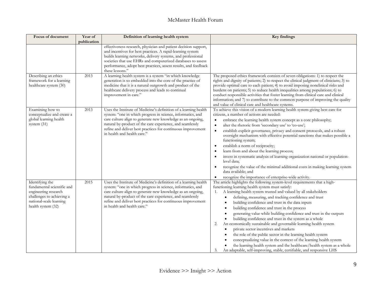| Focus of document                                                                                                                                   | Year of<br>publication | Definition of learning health system                                                                                                                                                                                                                                                                                                                       | <b>Key findings</b>                                                                                                                                                                                                                                                                                                                                                                                                                                                                                                                                                                                                                                                                                                                                                                                                                                                                                                                                              |
|-----------------------------------------------------------------------------------------------------------------------------------------------------|------------------------|------------------------------------------------------------------------------------------------------------------------------------------------------------------------------------------------------------------------------------------------------------------------------------------------------------------------------------------------------------|------------------------------------------------------------------------------------------------------------------------------------------------------------------------------------------------------------------------------------------------------------------------------------------------------------------------------------------------------------------------------------------------------------------------------------------------------------------------------------------------------------------------------------------------------------------------------------------------------------------------------------------------------------------------------------------------------------------------------------------------------------------------------------------------------------------------------------------------------------------------------------------------------------------------------------------------------------------|
|                                                                                                                                                     |                        | effectiveness research, physician and patient decision support,<br>and incentives for best practices. A rapid-learning system<br>builds learning networks, delivery systems, and professional<br>societies that use EHRs and computerized databases to assess<br>performance, adopt best practices, assess results, and feedback<br>these lessons."        |                                                                                                                                                                                                                                                                                                                                                                                                                                                                                                                                                                                                                                                                                                                                                                                                                                                                                                                                                                  |
| Describing an ethics<br>framework for a learning<br>healthcare system (30)                                                                          | 2013                   | A learning health system is a system "in which knowledge<br>generation is so embedded into the core of the practice of<br>medicine that it is a natural outgrowth and product of the<br>healthcare delivery process and leads to continual<br>improvement in care."                                                                                        | The proposed ethics framework consists of seven obligations: 1) to respect the<br>rights and dignity of patients; 2) to respect the clinical judgment of clinicians; 3) to<br>provide optimal care to each patient; 4) to avoid imposing nonclinical risks and<br>burdens on patients; 5) to reduce health inequalities among populations; 6) to<br>conduct responsible activities that foster learning from clinical care and clinical<br>information; and 7) to contribute to the common purpose of improving the quality<br>and value of clinical care and healthcare systems.                                                                                                                                                                                                                                                                                                                                                                                |
| Examining how to<br>conceptualize and create a<br>global learning health<br>system (31)                                                             | 2013                   | Uses the Institute of Medicine's definition of a learning health<br>system: "one in which progress in science, informatics, and<br>care culture align to generate new knowledge as an ongoing,<br>natural by-product of the care experience, and seamlessly<br>refine and deliver best practices for continuous improvement<br>in health and health care." | To achieve this vision of a modern learning health system giving best care for<br>citizens, a number of actions are needed:<br>embrace the learning health system concept as a core philosophy;<br>$\bullet$<br>alter the rhetoric from 'secondary use' to 'co-use';<br>$\bullet$<br>establish explicit governance, privacy and consent protocols, and a robust<br>$\bullet$<br>oversight mechanism with effective potential sanctions that makes possible a<br>functioning system;<br>establish a norm of reciprocity;<br>$\bullet$<br>learn from and about the learning process;<br>invest in systematic analysis of learning organization national or population-<br>level data;<br>recognize the value of the minimal additional costs in making learning system<br>data available; and<br>recognize the importance of enterprise-wide activity.<br>$\bullet$                                                                                                |
| Identifying the<br>fundamental scientific and<br>engineering research<br>challenges to achieving a<br>national-scale learning<br>health system (32) | 2015                   | Uses the Institute of Medicine's definition of a learning health<br>system: "one in which progress in science, informatics, and<br>care culture align to generate new knowledge as an ongoing,<br>natural by-product of the care experience, and seamlessly<br>refine and deliver best practices for continuous improvement<br>in health and health care." | The article highlights the following system-level requirements that a high-<br>functioning learning health system must satisfy:<br>A learning health system trusted and valued by all stakeholders<br>1.<br>defining, measuring, and tracking confidence and trust<br>$\bullet$<br>building confidence and trust in the data inputs<br>$\bullet$<br>building confidence and trust in the process<br>generating value while building confidence and trust in the outputs<br>building confidence and trust in the system as a whole<br>An economically sustainable and governable learning health system<br>2.<br>private sector incentives and markets<br>$\bullet$<br>the role of the public sector in the learning health system<br>conceptualizing value in the context of the learning health system<br>the learning health system and the healthcare/health system as a whole<br>An adaptable, self-improving, stable, certifiable, and responsive LHS<br>3. |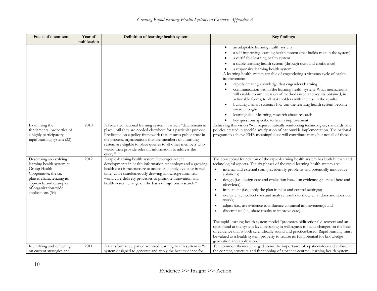| Focus of document                                                                                                                                                                               | Year of<br>publication | Definition of learning health system                                                                                                                                                                                                                                                                                                                                                                 | Key findings                                                                                                                                                                                                                                                                                                                                                                                                                                                                                                                                                                                                                                                                                                                                                                                                                                                                                                                                                                                                                                                                                     |
|-------------------------------------------------------------------------------------------------------------------------------------------------------------------------------------------------|------------------------|------------------------------------------------------------------------------------------------------------------------------------------------------------------------------------------------------------------------------------------------------------------------------------------------------------------------------------------------------------------------------------------------------|--------------------------------------------------------------------------------------------------------------------------------------------------------------------------------------------------------------------------------------------------------------------------------------------------------------------------------------------------------------------------------------------------------------------------------------------------------------------------------------------------------------------------------------------------------------------------------------------------------------------------------------------------------------------------------------------------------------------------------------------------------------------------------------------------------------------------------------------------------------------------------------------------------------------------------------------------------------------------------------------------------------------------------------------------------------------------------------------------|
|                                                                                                                                                                                                 |                        |                                                                                                                                                                                                                                                                                                                                                                                                      | an adaptable learning health system<br>$\bullet$<br>a self-improving learning health system (that builds trust in the system)<br>a certifiable learning health system<br>a stable learning health system (through trust and confidence)<br>a responsive learning health system<br>A learning health system capable of engendering a virtuous cycle of health<br>4.<br>improvement<br>rapidly creating knowledge that engenders learning<br>communication within the learning health system: What mechanisms<br>will enable communication of methods used and results obtained, in<br>actionable forms, to all stakeholders with interest in the results?<br>building a smart system: How can the learning health system become<br>smart enough?<br>learning about learning, research about research<br>key questions specific to health improvement                                                                                                                                                                                                                                              |
| Examining the<br>fundamental properties of<br>a highly participatory<br>rapid learning system (33)                                                                                              | 2010                   | A federated national learning system in which "data remain in<br>place until they are needed elsewhere for a particular purpose.<br>Predicated on a policy framework that ensures public trust in<br>the process, organizations that are members of a learning<br>system are eligible to place queries to all other members who<br>would then provide relevant information to address the<br>query." | Achieving this vision "will require mutually reinforcing technologies, standards, and<br>policies created in specific anticipation of nationwide implementation. The national<br>program to achieve EHR meaningful use will contribute many but not all of these."                                                                                                                                                                                                                                                                                                                                                                                                                                                                                                                                                                                                                                                                                                                                                                                                                               |
| Describing an evolving<br>learning health system at<br>Group Health<br>Cooperative, the six<br>phases characterizing its<br>approach, and examples<br>of organization-wide<br>applications (34) | 2012                   | A rapid-learning health system "leverages recent<br>developments in health information technology and a growing<br>health data infrastructure to access and apply evidence in real<br>time, while simultaneously drawing knowledge from real-<br>world care-delivery processes to promote innovation and<br>health system change on the basis of rigorous research."                                 | The conceptual foundation of the rapid-learning health system has both human and<br>technological aspects. The six phases of the rapid-learning health system are:<br>internal and external scan (i.e., identify problems and potentially innovative<br>$\bullet$<br>solutions);<br>design (i.e., design care and evaluation based on evidence generated here and<br>$\bullet$<br>elsewhere);<br>implement (i.e., apply the plan in pilot and control settings);<br>$\bullet$<br>evaluate (i.e., collect data and analyze results to show what does and does not<br>work);<br>adjust (i.e., use evidence to influence continual improvement); and<br>disseminate (i.e., share results to improve care).<br>The rapid-learning health system model "promotes bidirectional discovery and an<br>open mind at the system level, resulting in willingness to make changes on the basis<br>of evidence that is both scientifically sound and practice-based. Rapid learning must<br>be valued as a health system property to realize its full potential for knowledge<br>generation and application." |
| Identifying and reflecting<br>on current strategies and                                                                                                                                         | 2011                   | A transformative, patient-centred learning health system is "a<br>system designed to generate and apply the best evidence for                                                                                                                                                                                                                                                                        | Ten common themes emerged about the importance of a patient-focused culture in<br>the content, structure and functioning of a patient-centred, learning health system:                                                                                                                                                                                                                                                                                                                                                                                                                                                                                                                                                                                                                                                                                                                                                                                                                                                                                                                           |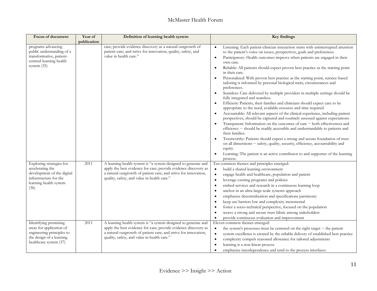| Focus of document                                                                                                                      | Year of     | Definition of learning health system                                                                                                                                                                                                                | <b>Key findings</b>                                                                                                                                                                                                                                                                                                                                                                                                                                                                                                                                                                                                                                                                                                                                                                                                                                                                                                                                                                                                                                                                                                                                                                                                                                                                                                                                                 |
|----------------------------------------------------------------------------------------------------------------------------------------|-------------|-----------------------------------------------------------------------------------------------------------------------------------------------------------------------------------------------------------------------------------------------------|---------------------------------------------------------------------------------------------------------------------------------------------------------------------------------------------------------------------------------------------------------------------------------------------------------------------------------------------------------------------------------------------------------------------------------------------------------------------------------------------------------------------------------------------------------------------------------------------------------------------------------------------------------------------------------------------------------------------------------------------------------------------------------------------------------------------------------------------------------------------------------------------------------------------------------------------------------------------------------------------------------------------------------------------------------------------------------------------------------------------------------------------------------------------------------------------------------------------------------------------------------------------------------------------------------------------------------------------------------------------|
| programs advancing<br>public understanding of a<br>transformative, patient-<br>centred learning health<br>system (35)                  | publication | care; provide evidence discovery as a natural outgrowth of<br>patient care; and strive for innovation, quality, safety, and<br>value in health care."                                                                                               | Listening: Each patient-clinician interaction starts with uninterrupted attention<br>$\bullet$<br>to the patient's voice on issues, perspectives, goals and preferences.<br>Participatory: Health outcomes improve when patients are engaged in their<br>$\bullet$<br>own care.<br>Reliable: All patients should expect proven best practice as the starting point<br>$\bullet$<br>in their care.<br>Personalized: With proven best practice as the starting point, science-based<br>tailoring is informed by personal biological traits, circumstances and<br>preferences.<br>Seamless: Care delivered by multiple providers in multiple settings should be<br>fully integrated and seamless.<br>Efficient: Patients, their families and clinicians should expect care to be<br>appropriate to the need, available resource and time required.<br>Accountable: All relevant aspects of the clinical experience, including patient<br>perspectives, should be captured and routinely assessed against expectations.<br>Transparent: Information on the outcomes of care - both effectiveness and<br>efficiency - should be readily accessible and understandable to patients and<br>their families.<br>Trustworthy: Patients should expect a strong and secure foundation of trust<br>on all dimensions - safety, quality, security, efficiency, accountability and |
| Exploring strategies for<br>accelerating the<br>development of the digital<br>infrastructure for the<br>learning health system<br>(36) | 2011        | A learning health system is "a system designed to generate and<br>apply the best evidence for care; provide evidence discovery as<br>a natural outgrowth of patient care; and strive for innovation,<br>quality, safety, and value in health care." | equity.<br>Learning: The patient is an active contributor to and supporter of the learning<br>$\bullet$<br>process.<br>Ten common themes and principles emerged:<br>build a shared learning environment<br>engage health and healthcare, population and patient<br>$\bullet$<br>leverage existing programs and policies<br>$\bullet$<br>embed services and research in a continuous learning loop<br>$\bullet$<br>anchor in an ultra-large-scale systems approach<br>$\bullet$<br>emphasize decentralization and specifications parsimony<br>$\epsilon$<br>keep use barriers low and complexity incremental<br>$\bullet$<br>foster a socio-technical perspective, focused on the population<br>weave a strong and secure trust fabric among stakeholders<br>provide continuous evaluation and improvement<br>$\bullet$                                                                                                                                                                                                                                                                                                                                                                                                                                                                                                                                              |
| Identifying promising<br>areas for application of<br>engineering principles to<br>the design of a learning<br>healthcare system (37)   | 2011        | A learning health system is "a system designed to generate and<br>apply the best evidence for care; provide evidence discovery as<br>a natural outgrowth of patient care; and strive for innovation,<br>quality, safety, and value in health care." | Eleven common themes emerged:<br>the system's processes must be centered on the right target $-$ the patient<br>system excellence is created by the reliable delivery of established best practice<br>$\bullet$<br>complexity compels reasoned allowance for tailored adjustments<br>$\bullet$<br>learning is a non-linear process<br>emphasize interdependence and tend to the process interfaces                                                                                                                                                                                                                                                                                                                                                                                                                                                                                                                                                                                                                                                                                                                                                                                                                                                                                                                                                                  |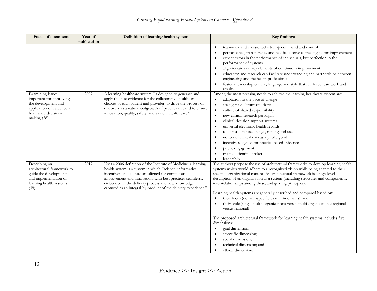| Focus of document                                                                                                                       | Year of     | Definition of learning health system                                                                                                                                                                                                                                                                                                                                      | <b>Key findings</b>                                                                                                                                                                                                                                                                                                                                                                                                                                                                                                                                                                                                                                                                                                                                                                                                                                                                     |
|-----------------------------------------------------------------------------------------------------------------------------------------|-------------|---------------------------------------------------------------------------------------------------------------------------------------------------------------------------------------------------------------------------------------------------------------------------------------------------------------------------------------------------------------------------|-----------------------------------------------------------------------------------------------------------------------------------------------------------------------------------------------------------------------------------------------------------------------------------------------------------------------------------------------------------------------------------------------------------------------------------------------------------------------------------------------------------------------------------------------------------------------------------------------------------------------------------------------------------------------------------------------------------------------------------------------------------------------------------------------------------------------------------------------------------------------------------------|
|                                                                                                                                         | publication |                                                                                                                                                                                                                                                                                                                                                                           |                                                                                                                                                                                                                                                                                                                                                                                                                                                                                                                                                                                                                                                                                                                                                                                                                                                                                         |
|                                                                                                                                         |             |                                                                                                                                                                                                                                                                                                                                                                           | teamwork and cross-checks trump command and control<br>$\bullet$<br>performance, transparency and feedback serve as the engine for improvement<br>$\bullet$<br>expect errors in the performance of individuals, but perfection in the<br>$\bullet$<br>performance of systems<br>align rewards on key elements of continuous improvement<br>education and research can facilitate understanding and partnerships between<br>$\bullet$<br>engineering and the health professions<br>foster a leadership culture, language and style that reinforce teamwork and<br>$\bullet$<br>results                                                                                                                                                                                                                                                                                                   |
| Examining issues<br>important for improving<br>the development and<br>application of evidence in<br>healthcare decision-<br>making (38) | 2007        | A learning healthcare system "is designed to generate and<br>apply the best evidence for the collaborative healthcare<br>choices of each patient and provider; to drive the process of<br>discovery as a natural outgrowth of patient care; and to ensure<br>innovation, quality, safety, and value in health care."                                                      | Among the most pressing needs to achieve the learning healthcare system are:<br>adaptation to the pace of change<br>$\bullet$<br>stronger synchrony of efforts<br>$\bullet$<br>culture of shared responsibility<br>$\bullet$<br>new clinical research paradigm<br>$\bullet$<br>clinical-decision support systems<br>$\bullet$<br>universal electronic health records<br>$\bullet$<br>tools for database linkage, mining and use<br>$\bullet$<br>notion of clinical data as a public good<br>$\bullet$<br>incentives aligned for practice-based evidence<br>$\bullet$<br>public engagement<br>trusted scientific broker<br>leadership<br>$\bullet$                                                                                                                                                                                                                                       |
| Describing an<br>architectural framework to<br>guide the development<br>and implementation of<br>learning health systems<br>(39)        | 2017        | Uses a 2006 definition of the Institute of Medicine: a learning<br>health system is a system in which "science, informatics,<br>incentives, and culture are aligned for continuous<br>improvement and innovation, with best practices seamlessly<br>embedded in the delivery process and new knowledge<br>captured as an integral by-product of the delivery experience." | The authors propose the use of architectural frameworks to develop learning health<br>systems which would adhere to a recognized vision while being adapted to their<br>specific organizational context. An architectural framework is a high-level<br>description of an organization as a system (including structures and components,<br>inter-relationships among these, and guiding principles).<br>Learning health systems are generally described and compared based on:<br>their focus (domain-specific vs multi-domains); and<br>$\bullet$<br>their scale (single health organizations versus multi-organizations/regional<br>versus national)<br>The proposed architectural framework for learning health systems includes five<br>dimensions:<br>goal dimension;<br>$\bullet$<br>scientific dimension;<br>social dimension;<br>technical dimension; and<br>ethical dimension. |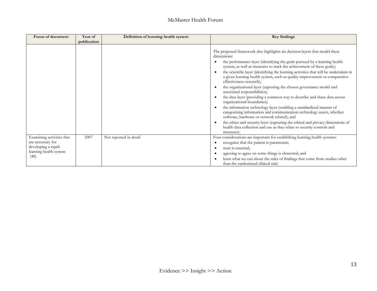| <b>Focus of document</b>                                                                                | Year of     | Definition of learning health system | <b>Key findings</b>                                                                                                                                                                                                                                                                                                                                                                                                                                                                                                                                                                                                                                                                                                                                                                                                                                                                                                                                                                                                                            |
|---------------------------------------------------------------------------------------------------------|-------------|--------------------------------------|------------------------------------------------------------------------------------------------------------------------------------------------------------------------------------------------------------------------------------------------------------------------------------------------------------------------------------------------------------------------------------------------------------------------------------------------------------------------------------------------------------------------------------------------------------------------------------------------------------------------------------------------------------------------------------------------------------------------------------------------------------------------------------------------------------------------------------------------------------------------------------------------------------------------------------------------------------------------------------------------------------------------------------------------|
|                                                                                                         | publication |                                      |                                                                                                                                                                                                                                                                                                                                                                                                                                                                                                                                                                                                                                                                                                                                                                                                                                                                                                                                                                                                                                                |
|                                                                                                         |             |                                      | The proposed framework also highlights six decision layers that model these<br>dimensions:<br>the performance layer (identifying the goals pursued by a learning health<br>system, as well as measures to track the achievement of these goals);<br>the scientific layer (identifying the learning activities that will be undertaken in<br>a given learning health system, such as quality improvement or comparative-<br>effectiveness research);<br>the organizational layer (capturing the chosen governance model and<br>associated responsibilities);<br>the data layer (providing a common way to describe and share data across<br>organizational boundaries);<br>the information technology layer (enabling a standardized manner of<br>categorizing information and communication-technology assets, whether<br>software, hardware or network related); and<br>the ethics and security layer (capturing the ethical and privacy dimensions of<br>health data collection and use as they relate to security controls and<br>measures) |
| Examining activities that<br>are necessary for<br>developing a rapid-<br>learning health system<br>(40) | 2007        | Not reported in detail               | Four considerations are important for establishing learning health systems:<br>recognize that the patient is paramount;<br>trust is essential;<br>agreeing to agree on some things is elemental; and<br>learn what we can about the risks of findings that come from studies other<br>than the randomized clinical trial.                                                                                                                                                                                                                                                                                                                                                                                                                                                                                                                                                                                                                                                                                                                      |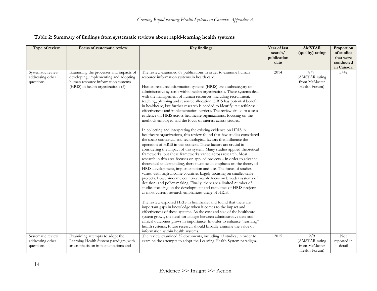| Table 2: Summary of findings from systematic reviews about rapid-learning health systems |  |  |  |
|------------------------------------------------------------------------------------------|--|--|--|
|                                                                                          |  |  |  |

| Type of review                                     | Focus of systematic review                                                                                                                                  | <b>Key findings</b>                                                                                                                                                                                                                                                                                                                                                                                                                                                                                                                                                                                                                                                                                                                                                                                                                                                                                                                                                                                                                                                                                                                                                                                                                                                                                                                                                                                                                                                                                                                                                                                                                                                                                                                                                                                                                                                                                                                                                                                                                                                                                                                                                              | Year of last<br>search/<br>publication | <b>AMSTAR</b><br>(quality) rating                       | Proportion<br>of studies<br>that were |
|----------------------------------------------------|-------------------------------------------------------------------------------------------------------------------------------------------------------------|----------------------------------------------------------------------------------------------------------------------------------------------------------------------------------------------------------------------------------------------------------------------------------------------------------------------------------------------------------------------------------------------------------------------------------------------------------------------------------------------------------------------------------------------------------------------------------------------------------------------------------------------------------------------------------------------------------------------------------------------------------------------------------------------------------------------------------------------------------------------------------------------------------------------------------------------------------------------------------------------------------------------------------------------------------------------------------------------------------------------------------------------------------------------------------------------------------------------------------------------------------------------------------------------------------------------------------------------------------------------------------------------------------------------------------------------------------------------------------------------------------------------------------------------------------------------------------------------------------------------------------------------------------------------------------------------------------------------------------------------------------------------------------------------------------------------------------------------------------------------------------------------------------------------------------------------------------------------------------------------------------------------------------------------------------------------------------------------------------------------------------------------------------------------------------|----------------------------------------|---------------------------------------------------------|---------------------------------------|
|                                                    |                                                                                                                                                             |                                                                                                                                                                                                                                                                                                                                                                                                                                                                                                                                                                                                                                                                                                                                                                                                                                                                                                                                                                                                                                                                                                                                                                                                                                                                                                                                                                                                                                                                                                                                                                                                                                                                                                                                                                                                                                                                                                                                                                                                                                                                                                                                                                                  | date                                   |                                                         | conducted<br>in Canada                |
| Systematic review<br>addressing other<br>questions | Examining the processes and impacts of<br>developing, implementing and adopting<br>human resource information systems<br>(HRIS) in health organizations (5) | The review examined 68 publications in order to examine human<br>resource information systems in health care.<br>Human resource information systems (HRIS) are a subcategory of<br>administrative systems within health organizations. These systems deal<br>with the management of human resources, including recruitment,<br>teaching, planning and resource allocation. HRIS has potential benefit<br>in healthcare, but further research is needed to identify its usefulness,<br>effectiveness and implementation barriers. The review aimed to assess<br>evidence on HRIS across healthcare organizations, focusing on the<br>methods employed and the focus of interest across studies.<br>In collecting and interpreting the existing evidence on HRIS in<br>healthcare organizations, this review found that few studies considered<br>the socio-contextual and technological factors that influence the<br>operation of HRIS in this context. These factors are crucial in<br>considering the impact of this system. Many studies applied theoretical<br>frameworks, but these frameworks varied across research. Most<br>research in this area focuses on applied projects - in order to advance<br>theoretical understanding, there must be an emphasis on the theory of<br>HRIS development, implementation and use. The focus of studies<br>varies, with high-income countries largely focusing on smaller-scale<br>projects. Lower-income countries mainly focus on broader systems of<br>decision- and policy-making. Finally, there are a limited number of<br>studies focusing on the development and outcomes of HRIS projects<br>as most current research emphasizes usage of HRIS.<br>The review explored HRIS in healthcare, and found that there are<br>important gaps in knowledge when it comes to the impact and<br>effectiveness of these systems. As the cost and size of the healthcare<br>system grows, the need for linkage between administrative data and<br>clinical outcomes grows in importance. In order to enhance "learning"<br>health systems, future research should broadly examine the value of<br>information within health systems. | 2014                                   | 8/9<br>(AMSTAR rating<br>from McMaster<br>Health Forum) | 5/42                                  |
| Systematic review<br>addressing other<br>questions | Examining attempts to adopt the<br>Learning Health System paradigm, with<br>an emphasis on implementations and                                              | The review examined 32 documents, including 13 studies, in order to<br>examine the attempts to adopt the Learning Health System paradigm.                                                                                                                                                                                                                                                                                                                                                                                                                                                                                                                                                                                                                                                                                                                                                                                                                                                                                                                                                                                                                                                                                                                                                                                                                                                                                                                                                                                                                                                                                                                                                                                                                                                                                                                                                                                                                                                                                                                                                                                                                                        | 2015                                   | 2/9<br>(AMSTAR rating<br>from McMaster<br>Health Forum) | Not<br>reported in<br>detail          |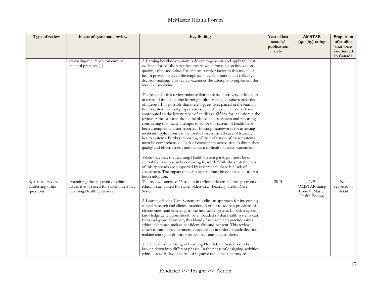| Type of review                                     | Focus of systematic review                                                                                     | <b>Key findings</b>                                                                                                                                                                                                                                                                                                                                                                                                                                                                                                                                                                                                                                                                                                                                                                                                                                                                                                                                                                                                                                                                                                                                                                                                                                                                                                                                                                                                                                                                                                                                                                                  | Year of last<br>search/<br>publication<br>date | <b>AMSTAR</b><br>(quality) rating                                    | Proportion<br>of studies<br>that were<br>conducted<br>in Canada |
|----------------------------------------------------|----------------------------------------------------------------------------------------------------------------|------------------------------------------------------------------------------------------------------------------------------------------------------------------------------------------------------------------------------------------------------------------------------------------------------------------------------------------------------------------------------------------------------------------------------------------------------------------------------------------------------------------------------------------------------------------------------------------------------------------------------------------------------------------------------------------------------------------------------------------------------------------------------------------------------------------------------------------------------------------------------------------------------------------------------------------------------------------------------------------------------------------------------------------------------------------------------------------------------------------------------------------------------------------------------------------------------------------------------------------------------------------------------------------------------------------------------------------------------------------------------------------------------------------------------------------------------------------------------------------------------------------------------------------------------------------------------------------------------|------------------------------------------------|----------------------------------------------------------------------|-----------------------------------------------------------------|
|                                                    | evaluating the impact on current<br>medical practices (1)                                                      | A learning healthcare system is driven to generate and apply the best<br>evidence for collaborative healthcare, while focusing on innovation,<br>quality, safety and value. Patients are a major factor in this model of<br>health provision, given the emphasis on collaboration and collective<br>decision-making. This review examines the attempts to implement this<br>model of medicine.<br>The results of this review indicate that there has been very little action<br>in terms of implementing learning health systems, despite a great deal<br>of interest. It is possible that there is great trust placed in the learning<br>health system without proper assessment of impact. This may have<br>contributed to the low number of studies qualifying for inclusion in the<br>review. A major focus should be placed on assessment and reporting,<br>considering that many attempts to adopt this system of health have<br>been attempted and not reported. Existing frameworks for assessing<br>medicine applications can be used to assess the efficacy of learning<br>health systems. Further, reporting of the evaluation of these systems<br>must be comprehensive. Lack of consistency across studies diminishes<br>quality and effectiveness, and makes it difficult to assess outcomes.<br>Taken together, the Learning Health System paradigm must be of<br>central focus to researchers moving forward. While the central tenets<br>of this approach are supported by researchers, there is a lack of<br>assessment. The impact of such a system must be evaluated in order to |                                                |                                                                      |                                                                 |
| Systematic review<br>addressing other<br>questions | Examining the spectrum of ethical<br>issues that is raised for stakeholders in a<br>Learning Health System (2) | boost adoption.<br>The review examined 65 studies in order to determine the spectrum of<br>ethical issues raised for stakeholders in a "Learning Health Care<br>System".<br>A Learning Health Care System embodies an approach for integrating<br>clinical research and clinical practice, in order to address problems of<br>effectiveness and efficiency in the healthcare system. In such a system,<br>knowledge generation should be embedded so that health systems can<br>learn and grow. However, this blend of research and practice raises<br>ethical dilemmas such as confidentiality and consent. This review<br>aimed to summarize pertinent ethical issues in order to guide decision-<br>making among healthcare professionals and policymakers.<br>The ethical issues arising in Learning Health Care Systems can be<br>broken down into different phases. In the phase of designing activities,<br>ethical issues include the risk of negative outcomes that may result                                                                                                                                                                                                                                                                                                                                                                                                                                                                                                                                                                                                              | 2015                                           | $\overline{1/9}$<br>(AMSTAR rating<br>from McMaster<br>Health Forum) | <b>Not</b><br>reported in<br>detail                             |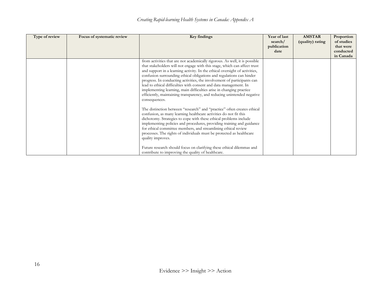| Type of review | Focus of systematic review | Key findings                                                                                                                                    | Year of last | <b>AMSTAR</b>    | Proportion |
|----------------|----------------------------|-------------------------------------------------------------------------------------------------------------------------------------------------|--------------|------------------|------------|
|                |                            |                                                                                                                                                 | search/      | (quality) rating | of studies |
|                |                            |                                                                                                                                                 | publication  |                  | that were  |
|                |                            |                                                                                                                                                 | date         |                  | conducted  |
|                |                            |                                                                                                                                                 |              |                  | in Canada  |
|                |                            | from activities that are not academically rigorous. As well, it is possible                                                                     |              |                  |            |
|                |                            | that stakeholders will not engage with this stage, which can affect trust                                                                       |              |                  |            |
|                |                            | and support in a learning activity. In the ethical oversight of activities,                                                                     |              |                  |            |
|                |                            | confusion surrounding ethical obligations and regulations can hinder<br>progress. In conducting activities, the involvement of participants can |              |                  |            |
|                |                            | lead to ethical difficulties with consent and data management. In                                                                               |              |                  |            |
|                |                            | implementing learning, main difficulties arise in changing practice                                                                             |              |                  |            |
|                |                            | efficiently, maintaining transparency, and reducing unintended negative                                                                         |              |                  |            |
|                |                            | consequences.                                                                                                                                   |              |                  |            |
|                |                            |                                                                                                                                                 |              |                  |            |
|                |                            | The distinction between "research" and "practice" often creates ethical                                                                         |              |                  |            |
|                |                            | confusion, as many learning healthcare activities do not fit this                                                                               |              |                  |            |
|                |                            | dichotomy. Strategies to cope with these ethical problems include                                                                               |              |                  |            |
|                |                            | implementing policies and procedures, providing training and guidance                                                                           |              |                  |            |
|                |                            | for ethical committee members, and streamlining ethical review                                                                                  |              |                  |            |
|                |                            | processes. The rights of individuals must be protected as healthcare                                                                            |              |                  |            |
|                |                            | quality improves.                                                                                                                               |              |                  |            |
|                |                            |                                                                                                                                                 |              |                  |            |
|                |                            | Future research should focus on clarifying these ethical dilemmas and                                                                           |              |                  |            |
|                |                            | contribute to improving the quality of healthcare.                                                                                              |              |                  |            |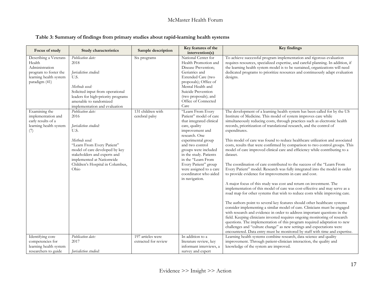#### **Table 3: Summary of findings from primary studies about rapid-learning health systems**

| Focus of study                                                                                                        | Study characteristics                                                                                                                                                                                                                                | Sample description                        | Key features of the<br>intervention(s)                                                                                                                                                                                                                                                                                                      | <b>Key findings</b>                                                                                                                                                                                                                                                                                                                                                                                                                                                                                                                                                                                                                                                                                                                                                                                                                                                                                                                                                                                                                                                                                                                                                                                                                                                                                                                                                                                                                                                                                                                                                                           |
|-----------------------------------------------------------------------------------------------------------------------|------------------------------------------------------------------------------------------------------------------------------------------------------------------------------------------------------------------------------------------------------|-------------------------------------------|---------------------------------------------------------------------------------------------------------------------------------------------------------------------------------------------------------------------------------------------------------------------------------------------------------------------------------------------|-----------------------------------------------------------------------------------------------------------------------------------------------------------------------------------------------------------------------------------------------------------------------------------------------------------------------------------------------------------------------------------------------------------------------------------------------------------------------------------------------------------------------------------------------------------------------------------------------------------------------------------------------------------------------------------------------------------------------------------------------------------------------------------------------------------------------------------------------------------------------------------------------------------------------------------------------------------------------------------------------------------------------------------------------------------------------------------------------------------------------------------------------------------------------------------------------------------------------------------------------------------------------------------------------------------------------------------------------------------------------------------------------------------------------------------------------------------------------------------------------------------------------------------------------------------------------------------------------|
| Describing a Veterans<br>Health<br>Administration<br>program to foster the<br>learning health system<br>paradigm (41) | Publication date:<br>2018<br>Jurisdiction studied:<br>U.S.<br>Methods used:<br>Solicited input from operational<br>leaders for high-priority programs<br>amenable to randomized<br>implementation and evaluation                                     | Six programs                              | National Center for<br>Health Promotion and<br>Disease Prevention;<br>Geriatrics and<br>Extended Care (two<br>proposals); Office of<br>Mental Health and<br>Suicide Prevention<br>(two proposals); and<br>Office of Connected<br>Care                                                                                                       | To achieve successful program implementation and rigorous evaluation<br>requires resources, specialized expertise, and careful planning. In addition, if<br>the learning health system model is to be sustained, organizations will need<br>dedicated programs to prioritize resources and continuously adapt evaluation<br>designs.                                                                                                                                                                                                                                                                                                                                                                                                                                                                                                                                                                                                                                                                                                                                                                                                                                                                                                                                                                                                                                                                                                                                                                                                                                                          |
| Examining the<br>implementation and<br>early results of a<br>learning health system<br>(7)                            | Publication date:<br>2016<br>Jurisdiction studied:<br>U.S.<br>Methods used:<br>"Learn From Every Patient"<br>model of care developed by key<br>stakeholders and experts and<br>implemented at Nationwide<br>Children's Hospital in Columbus,<br>Ohio | 131 children with<br>cerebral palsy       | "Learn From Every<br>Patient" model of care<br>that integrated clinical<br>care, quality<br>improvement and<br>research. One<br>experimental group<br>and two control<br>groups were included<br>in the study. Patients<br>in the "Learn From<br>Every Patient" group<br>were assigned to a care<br>coordinator who aided<br>in navigation. | The development of a learning health system has been called for by the US<br>Institute of Medicine. This model of system improves care while<br>simultaneously reducing costs, through practices such as electronic health<br>records, prioritization of translational research, and the control of<br>expenditures.<br>This model of care was found to reduce healthcare utilization and associated<br>costs, results that were confirmed by comparison to two control groups. This<br>model of care improved clinical care and efficiency while contributing to a<br>dataset.<br>The coordination of care contributed to the success of the "Learn From<br>Every Patient" model. Research was fully integrated into the model in order<br>to provide evidence for improvements in care and cost.<br>A major focus of this study was cost and return on investment. The<br>implementation of this model of care was cost-effective and may serve as a<br>road map for other systems that wish to reduce costs while improving care.<br>The authors point to several key features should other healthcare systems<br>consider implementing a similar model of care. Clinicians must be engaged<br>with research and evidence in order to address important questions in the<br>field. Keeping clinicians invested requires ongoing monitoring of research<br>questions. The implementation of this program required adaptation to new<br>challenges and "culture change" as new settings and expectations were<br>encountered. Data entry must be monitored by staff with time and expertise. |
| Identifying core<br>competencies for<br>learning health system<br>researchers to guide                                | Publication date:<br>2017<br><i>Iurisdiction studied:</i>                                                                                                                                                                                            | 197 articles were<br>extracted for review | In addition to a<br>literature review, key<br>informant interviews, a<br>survey and expert                                                                                                                                                                                                                                                  | Learning health systems combine research, data science and quality<br>improvement. Through patient-clinician interaction, the quality and<br>knowledge of the system are improved.                                                                                                                                                                                                                                                                                                                                                                                                                                                                                                                                                                                                                                                                                                                                                                                                                                                                                                                                                                                                                                                                                                                                                                                                                                                                                                                                                                                                            |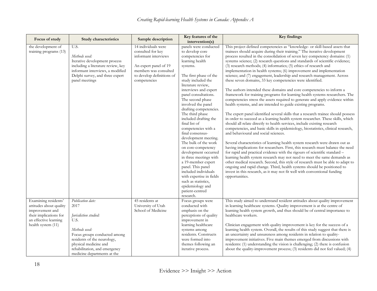| Focus of study                                                                                                                              | <b>Study characteristics</b>                                                                                                                                                                                                        | Sample description                                                                                                                                              | Key features of the<br>intervention(s)                                                                                                                                                                                                                                                                                                                                                                                                                                                                                                                                                                                                                                              | <b>Key findings</b>                                                                                                                                                                                                                                                                                                                                                                                                                                                                                                                                                                                                                                                                                                                                                                                                                                                                                                                                                                                                                                                                                                                                                                                                                                                                                                                                                                                                                                                                                                                                                                                                                                                                                                                                                                                                                                                                              |
|---------------------------------------------------------------------------------------------------------------------------------------------|-------------------------------------------------------------------------------------------------------------------------------------------------------------------------------------------------------------------------------------|-----------------------------------------------------------------------------------------------------------------------------------------------------------------|-------------------------------------------------------------------------------------------------------------------------------------------------------------------------------------------------------------------------------------------------------------------------------------------------------------------------------------------------------------------------------------------------------------------------------------------------------------------------------------------------------------------------------------------------------------------------------------------------------------------------------------------------------------------------------------|--------------------------------------------------------------------------------------------------------------------------------------------------------------------------------------------------------------------------------------------------------------------------------------------------------------------------------------------------------------------------------------------------------------------------------------------------------------------------------------------------------------------------------------------------------------------------------------------------------------------------------------------------------------------------------------------------------------------------------------------------------------------------------------------------------------------------------------------------------------------------------------------------------------------------------------------------------------------------------------------------------------------------------------------------------------------------------------------------------------------------------------------------------------------------------------------------------------------------------------------------------------------------------------------------------------------------------------------------------------------------------------------------------------------------------------------------------------------------------------------------------------------------------------------------------------------------------------------------------------------------------------------------------------------------------------------------------------------------------------------------------------------------------------------------------------------------------------------------------------------------------------------------|
| the development of<br>training programs (13)                                                                                                | U.S.<br>Methods used:<br>Iterative development process<br>including a literature review, key<br>informant interviews, a modified<br>Delphi survey, and three expert<br>panel meetings                                               | 14 individuals were<br>consulted for key<br>informant interviews<br>An expert panel of 19<br>members was consulted<br>to develop definitions of<br>competencies | panels were conducted<br>to develop core<br>competencies for<br>learning health<br>systems.<br>The first phase of the<br>study included the<br>literature review,<br>interviews and expert<br>panel consultations.<br>The second phase<br>involved the panel<br>drafting competencies.<br>The third phase<br>included drafting the<br>final list of<br>competencies with a<br>final consensus-<br>development meeting.<br>The bulk of the work<br>on core-competency<br>development occurred<br>in three meetings with<br>a 19-member expert<br>panel. This panel<br>included individuals<br>with expertise in fields<br>such as statistics,<br>epidemiology and<br>patient-centred | This project defined competencies as "knowledge- or skill-based assets that<br>trainees should acquire during their training." The iterative development<br>process resulted in the consolidation of seven key competency domains: (1)<br>systems science; (2) research questions and standards of scientific evidence;<br>(3) research methods; (4) informatics; (5) ethics of research and<br>implementation in health systems; (6) improvement and implementation<br>science; and (7) engagement, leadership and research management. Across<br>these seven domains, 33 key competencies were identified.<br>The authors intended these domains and core competencies to inform a<br>framework for training programs for learning health systems researchers. The<br>competencies stress the assets required to generate and apply evidence within<br>health systems, and are intended to guide existing programs.<br>The expert panel identified several skills that a research trainee should possess<br>in order to succeed as a learning health system researcher. These skills, which<br>should all relate directly to health services, include existing research<br>competencies, and basic skills in epidemiology, biostatistics, clinical research,<br>and behavioural and social sciences.<br>Several characteristics of learning health system research were drawn out as<br>having implications for researchers. First, this research must balance the need<br>for rapid and practical evidence with the rigours of scientific standard -<br>learning health system research may not need to meet the same demands as<br>other medical research. Second, this style of research must be able to adapt to<br>ongoing and rapid change. Third, health systems should be positioned to<br>invest in this research, as it may not fit well with conventional funding<br>opportunities. |
| Examining residents'<br>attitudes about quality<br>improvement and<br>their implications for<br>an effective learning<br>health system (11) | Publication date:<br>2017<br>Jurisdiction studied:<br>U.S.<br>Methods used:<br>Focus groups conducted among<br>residents of the neurology,<br>physical medicine and<br>rehabilitation, and emergency<br>medicine departments at the | 45 residents at<br>University of Utah<br>School of Medicine                                                                                                     | research.<br>Focus groups were<br>conducted with<br>emphasis on the<br>perceptions of quality<br>improvement in<br>learning healthcare<br>systems among<br>residents. Constructs<br>were formed into<br>themes following an<br>iterative process.                                                                                                                                                                                                                                                                                                                                                                                                                                   | This study aimed to understand resident attitudes about quality improvement<br>in learning healthcare systems. Quality improvement is at the centre of<br>learning health system growth, and thus should be of central importance to<br>healthcare workers.<br>Clinician engagement with quality improvement is key for the success of a<br>learning health system. Overall, the results of this study suggest that there is<br>an uncertainty and unsureness among residents in relation to quality-<br>improvement initiatives. Five main themes emerged from discussions with<br>residents: (1) understanding the vision is challenging; (2) there is confusion<br>about the quality-improvement process; (3) residents did not feel valued; (4)                                                                                                                                                                                                                                                                                                                                                                                                                                                                                                                                                                                                                                                                                                                                                                                                                                                                                                                                                                                                                                                                                                                                              |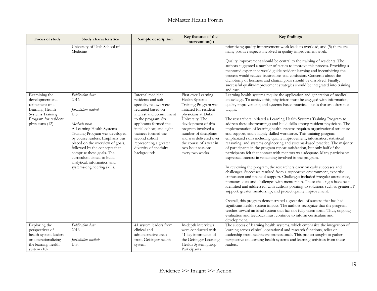| Focus of study                                                                                                                        | Study characteristics                                                                                                                                                                                                                                                                                                                                                       | Sample description                                                                                                                                                                                                                                                                                          | Key features of the<br>intervention(s)                                                                                                                                                                                                                                                               | <b>Key findings</b>                                                                                                                                                                                                                                                                                                                                                                                                                                                                                                                                                                                                                                                                                                                                                                                                                                                                                                                                                                                                                                                                                                                                                                                                                                                                                                                                                                                                                                                                                                                                                                                                                                                                                                                          |
|---------------------------------------------------------------------------------------------------------------------------------------|-----------------------------------------------------------------------------------------------------------------------------------------------------------------------------------------------------------------------------------------------------------------------------------------------------------------------------------------------------------------------------|-------------------------------------------------------------------------------------------------------------------------------------------------------------------------------------------------------------------------------------------------------------------------------------------------------------|------------------------------------------------------------------------------------------------------------------------------------------------------------------------------------------------------------------------------------------------------------------------------------------------------|----------------------------------------------------------------------------------------------------------------------------------------------------------------------------------------------------------------------------------------------------------------------------------------------------------------------------------------------------------------------------------------------------------------------------------------------------------------------------------------------------------------------------------------------------------------------------------------------------------------------------------------------------------------------------------------------------------------------------------------------------------------------------------------------------------------------------------------------------------------------------------------------------------------------------------------------------------------------------------------------------------------------------------------------------------------------------------------------------------------------------------------------------------------------------------------------------------------------------------------------------------------------------------------------------------------------------------------------------------------------------------------------------------------------------------------------------------------------------------------------------------------------------------------------------------------------------------------------------------------------------------------------------------------------------------------------------------------------------------------------|
|                                                                                                                                       | University of Utah School of<br>Medicine                                                                                                                                                                                                                                                                                                                                    |                                                                                                                                                                                                                                                                                                             |                                                                                                                                                                                                                                                                                                      | prioritizing quality-improvement work leads to overload; and (5) there are<br>many positive aspects involved in quality-improvement work.<br>Quality improvement should be central to the training of residents. The<br>authors suggested a number of tactics to improve this process. Providing a<br>mentored experience would guide resident learning and incentivizing the<br>process would reduce frustrations and confusion. Concerns about the<br>dichotomy of business and clinical goals should be dissolved. Finally,<br>successful quality-improvement strategies should be integrated into training<br>and care.                                                                                                                                                                                                                                                                                                                                                                                                                                                                                                                                                                                                                                                                                                                                                                                                                                                                                                                                                                                                                                                                                                                  |
| Examining the<br>development and<br>refinement of a<br>Learning Health<br>Systems Training<br>Program for resident<br>physicians (12) | Publication date:<br>2016<br>Jurisdiction studied:<br>U.S.<br>Methods used:<br>A Learning Health Systems<br>Training Program was developed<br>by course leaders. Emphasis was<br>placed on the overview of goals,<br>followed by the concepts that<br>comprise these goals. The<br>curriculum aimed to build<br>analytical, informatics, and<br>systems-engineering skills. | Internal medicine<br>residents and sub-<br>specialty fellows were<br>recruited based on<br>interest and commitment<br>to the program. Six<br>applicants formed the<br>initial cohort, and eight<br>trainees formed the<br>second cohort<br>representing a greater<br>diversity of specialty<br>backgrounds. | First-ever Learning<br>Health Systems<br>Training Program was<br>initiated for resident<br>physicians at Duke<br>University. The<br>development of this<br>program involved a<br>number of disciplines<br>and was delivered over<br>the course of a year in<br>two-hour sessions<br>every two weeks. | Learning health systems require the application and generation of medical<br>knowledge. To achieve this, physicians must be engaged with information,<br>quality improvement, and systems-based practice - skills that are often not<br>taught.<br>The researchers initiated a Learning Health Systems Training Program to<br>address these shortcomings and build skills among resident physicians. The<br>implementation of learning health systems requires organizational structure<br>and support, and a highly skilled workforce. This training program<br>emphasized skills including quality improvement, informatics, statistical<br>reasoning, and systems engineering and systems-based practice. The majority<br>of participants in the program report satisfaction, but only half of the<br>participants felt that contact with mentors was adequate. Many participants<br>expressed interest in remaining involved in the program.<br>In reviewing the program, the researchers drew on early successes and<br>challenges. Successes resulted from a supportive environment, expertise,<br>enthusiasm and financial support. Challenges included irregular attendance,<br>immature data and challenges with mentorship. These challenges have been<br>identified and addressed, with authors pointing to solutions such as greater IT<br>support, greater mentorship, and project quality improvement.<br>Overall, this program demonstrated a great deal of success that has had<br>significant health-system impact. The authors recognize that the program<br>teaches toward an ideal system that has not fully taken form. Thus, ongoing<br>evaluation and feedback must continue to inform curriculum and<br>development. |
| Exploring the<br>perspectives of<br>health-system leaders<br>on operationalizing<br>the learning health<br>system $(10)$              | Publication date:<br>2016<br>Jurisdiction studied:<br>U.S.                                                                                                                                                                                                                                                                                                                  | 41 system leaders from<br>clinical and<br>administrative areas<br>from Geisinger health<br>system                                                                                                                                                                                                           | In-depth interviews<br>were conducted with<br>41 key informants of<br>the Geisinger Learning<br>Health System group.<br>Participants                                                                                                                                                                 | The success of learning health systems, which emphasize the integration of<br>learning across clinical, operational and research functions, relies on<br>leadership from healthcare professionals. This project sought to gather<br>perspective on learning health systems and learning activities from these<br>leaders.                                                                                                                                                                                                                                                                                                                                                                                                                                                                                                                                                                                                                                                                                                                                                                                                                                                                                                                                                                                                                                                                                                                                                                                                                                                                                                                                                                                                                    |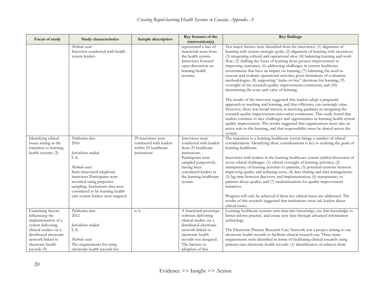| Focus of study                                                                                                                                                                                | <b>Study characteristics</b>                                                                                                                                                                                                                                                         | Sample description                                                                   | Key features of the<br>intervention(s)                                                                                                                                                                      | <b>Key findings</b>                                                                                                                                                                                                                                                                                                                                                                                                                                                                                                                                                                                                                                                                                                                                                                                                                                                                                                                                                                                                                                                                                                                                                                                                                                                                                                                  |
|-----------------------------------------------------------------------------------------------------------------------------------------------------------------------------------------------|--------------------------------------------------------------------------------------------------------------------------------------------------------------------------------------------------------------------------------------------------------------------------------------|--------------------------------------------------------------------------------------|-------------------------------------------------------------------------------------------------------------------------------------------------------------------------------------------------------------|--------------------------------------------------------------------------------------------------------------------------------------------------------------------------------------------------------------------------------------------------------------------------------------------------------------------------------------------------------------------------------------------------------------------------------------------------------------------------------------------------------------------------------------------------------------------------------------------------------------------------------------------------------------------------------------------------------------------------------------------------------------------------------------------------------------------------------------------------------------------------------------------------------------------------------------------------------------------------------------------------------------------------------------------------------------------------------------------------------------------------------------------------------------------------------------------------------------------------------------------------------------------------------------------------------------------------------------|
|                                                                                                                                                                                               | Methods used:<br>Interview conducted with health<br>system leaders                                                                                                                                                                                                                   |                                                                                      | represented a mix of<br>functional areas from<br>the health system.<br>Interviews fostered<br>open discussion on<br>learning health<br>systems.                                                             | Ten major themes were identified from the interviews: (1) alignment of<br>learning with system strategic goals; (2) alignment of learning with incentives;<br>(3) integrating cultural and operational silos; (4) balancing learning and work<br>flow; (5) shifting the focus of learning from process improvement to<br>improving outcomes; (6) addressing challenges in current healthcare<br>environment that have an impact on learning; (7) balancing the need to<br>execute and evaluate operational activities given limitations of evaluation<br>methodologies; (8) supporting "make-or-buy" decisions for learning; (9)<br>oversight of the research-quality improvement-continuum; and (10)<br>determining the costs and value of learning.<br>The results of the interview suggested that leaders adopt a pragmatic<br>approach to teaching and learning, and that efficiency can outweigh value.<br>However, there was broad interest in receiving guidance in navigating the<br>research-quality improvement-innovation continuum. This study found that<br>leaders continue to face challenges and opportunities in learning health system<br>quality improvement. The results suggested that organizations must take an<br>active role in this learning, and that responsibility must be shared across the<br>system. |
| Identifying ethical<br>issues arising in the<br>transition to learning<br>health systems (3)                                                                                                  | Publication date:<br>2016<br>Jurisdiction studied:<br>U.S.<br>Methods used:<br>Semi-structured telephone<br>interviews Participants were<br>recruited using purposive<br>sampling. Institutions that were<br>considered to be learning health-<br>care system leaders were targeted. | 29 interviews were<br>conducted with leaders<br>within 25 healthcare<br>institutions | Interviews were<br>conducted with leaders<br>from 25 healthcare<br>institutions.<br>Participants were<br>sampled purposively,<br>having been<br>considered leaders in<br>the learning healthcare<br>system. | The transition to a learning healthcare system brings a number of ethical<br>considerations. Identifying these considerations is key to realizing the goals of<br>learning healthcare.<br>Interviews with leaders in the learning healthcare system yielded discussion of<br>seven ethical challenges: (1) ethical oversight of learning activities; (2)<br>transparency of learning activities to patients; (3) potential tensions between<br>improving quality and reducing costs; (4) data sharing and data management;<br>(5) lag time between discovery and implementation; (6) transparency to<br>patients about quality; and (7) randomizations for quality-improvement<br>initiatives.<br>Progress will only be achieved if these key ethical issues are addressed. The<br>results of this research suggested that institutions must ask leaders about<br>ethical issues.                                                                                                                                                                                                                                                                                                                                                                                                                                                    |
| Examining factors<br>influencing the<br>implementation of a<br>system delivering<br>clinical studies via a<br>distributed electronic<br>network linked to<br>electronic health<br>records (9) | Publication date:<br>2012<br>Jurisdiction studied:<br>U.S.<br>Methods used:<br>The requirements for using<br>electronic health records for                                                                                                                                           | n/a                                                                                  | A functional prototype<br>software delivering<br>clinical studies via a<br>distributed electronic<br>network linked to<br>electronic health<br>records was designed.<br>The barriers to<br>adoption of this | Learning healthcare systems turn data into knowledge, use that knowledge to<br>better inform practice, and create new data through advanced information<br>technology.<br>The Electronic Primary Research Care Network was a project aiming to use<br>electronic health records to facilitate clinical research use. Three main<br>requirements were identified in terms of facilitating clinical research using<br>primary-care electronic health records: (1) identification of subjects from                                                                                                                                                                                                                                                                                                                                                                                                                                                                                                                                                                                                                                                                                                                                                                                                                                      |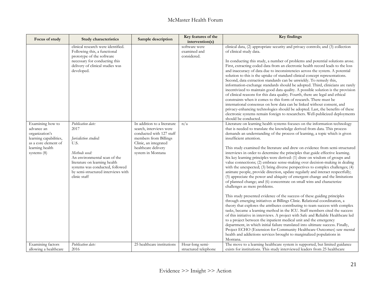| Focus of study                                                                                                                       | Study characteristics                                                                                                                                                                                                                 | Sample description                                                                                                                                                               | Key features of the<br>intervention(s)       | <b>Key findings</b>                                                                                                                                                                                                                                                                                                                                                                                                                                                                                                                                                                                                                                                                                                                                                                                                                                                                                                                                                                                                                                                                                                                                                                                                                                                                                                                                                                                                                                                                                                                                                                                                                                                                                                          |
|--------------------------------------------------------------------------------------------------------------------------------------|---------------------------------------------------------------------------------------------------------------------------------------------------------------------------------------------------------------------------------------|----------------------------------------------------------------------------------------------------------------------------------------------------------------------------------|----------------------------------------------|------------------------------------------------------------------------------------------------------------------------------------------------------------------------------------------------------------------------------------------------------------------------------------------------------------------------------------------------------------------------------------------------------------------------------------------------------------------------------------------------------------------------------------------------------------------------------------------------------------------------------------------------------------------------------------------------------------------------------------------------------------------------------------------------------------------------------------------------------------------------------------------------------------------------------------------------------------------------------------------------------------------------------------------------------------------------------------------------------------------------------------------------------------------------------------------------------------------------------------------------------------------------------------------------------------------------------------------------------------------------------------------------------------------------------------------------------------------------------------------------------------------------------------------------------------------------------------------------------------------------------------------------------------------------------------------------------------------------------|
|                                                                                                                                      | clinical research were identified.<br>Following this, a functional<br>prototype of the software<br>necessary for conducting this<br>delivery of clinical studies was<br>developed.                                                    |                                                                                                                                                                                  | software were<br>examined and<br>considered. | clinical data, (2) appropriate security and privacy controls; and (3) collection<br>of clinical study data.<br>In conducting this study, a number of problems and potential solutions arose.<br>First, extracting coded data from an electronic health record leads to the loss<br>and inaccuracy of data due to inconsistencies across the system. A potential<br>solution to this is the uptake of standard clinical concept representations.<br>Second, data extraction standards can be unwieldy. To remedy this,<br>information-exchange standards should be adopted. Third, clinicians are rarely<br>incentivized to maintain good data quality. A possible solution is the provision<br>of clinical reasons for this data quality. Fourth, there are legal and ethical<br>constraints when it comes to this form of research. There must be<br>international consensus on how data can be linked without consent, and<br>privacy-enhancing technologies should be adopted. Last, the benefits of these<br>electronic systems remain foreign to researchers. Well-publicized deployments                                                                                                                                                                                                                                                                                                                                                                                                                                                                                                                                                                                                                               |
| Examining how to<br>advance an<br>organization's<br>learning capabilities,<br>as a core element of<br>learning health<br>systems (8) | Publication date:<br>2017<br>Jurisdiction studied:<br>U.S.<br>Methods used:<br>An environmental scan of the<br>literature on learning health<br>systems was conducted, followed<br>by semi-structured interviews with<br>clinic staff | In addition to a literature<br>search, interviews were<br>conducted with 127 staff<br>members from Billings<br>Clinic, an integrated<br>healthcare delivery<br>system in Montana | n/a                                          | should be conducted.<br>Literature on learning health systems focuses on the information technology<br>that is needed to translate the knowledge derived from data. This process<br>demands an understanding of the process of learning, a topic which is given<br>insufficient attention.<br>This study examined the literature and drew on evidence from semi-structured<br>interviews in order to determine the principles that guide effective learning.<br>Six key learning principles were derived: (1) draw on wisdom of groups and<br>value connections; (2) embrace sense-making over decision-making in dealing<br>with the unexpected; (3) bring diverse perspectives to complex challenges; (4)<br>animate people, provide direction, update regularly and interact respectfully;<br>(5) appreciate the power and ubiquity of emergent change and the limitations<br>of planned change; and (6) concentrate on small wins and characterize<br>challenges as mere problems.<br>This study presented evidence of the success of these guiding principles<br>through emerging initiatives at Billings Clinic. Relational coordination, a<br>theory that explores the attributes contributing to team success with complex<br>tasks, became a learning method in the ICU. Staff members cited the success<br>of this initiative in interviews. A project with Safe and Reliable Healthcare led<br>to a project between the inpatient medical unit and the emergency<br>department, in which initial failure translated into ultimate success. Finally,<br>Project ECHO (Extension for Community Healthcare Outcomes) saw mental<br>health and addictions services brought to marginalized populations in<br>Montana. |
| Examining factors<br>allowing a healthcare                                                                                           | Publication date:<br>2016                                                                                                                                                                                                             | 25 healthcare institutions                                                                                                                                                       | Hour-long semi-<br>structured telephone      | The move to a learning healthcare system is supported, but limited guidance<br>exists for institutions. This study interviewed leaders from 25 healthcare                                                                                                                                                                                                                                                                                                                                                                                                                                                                                                                                                                                                                                                                                                                                                                                                                                                                                                                                                                                                                                                                                                                                                                                                                                                                                                                                                                                                                                                                                                                                                                    |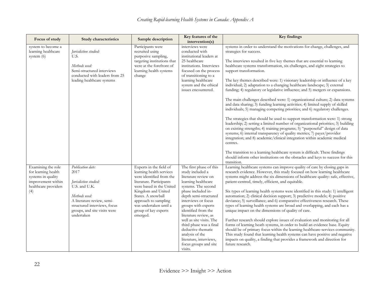| Focus of study                                                                                                       | Study characteristics                                                                                                                                                                            | Sample description                                                                                                                                                                                                                                                        | Key features of the<br>intervention(s)                                                                                                                                                                                                                                                                                                                                                                                        | <b>Key findings</b>                                                                                                                                                                                                                                                                                                                                                                                                                                                                                                                                                                                                                                                                                                                                                                                                                                                                                                                                                                                                                                                                                                                                                                                                                                                                                   |
|----------------------------------------------------------------------------------------------------------------------|--------------------------------------------------------------------------------------------------------------------------------------------------------------------------------------------------|---------------------------------------------------------------------------------------------------------------------------------------------------------------------------------------------------------------------------------------------------------------------------|-------------------------------------------------------------------------------------------------------------------------------------------------------------------------------------------------------------------------------------------------------------------------------------------------------------------------------------------------------------------------------------------------------------------------------|-------------------------------------------------------------------------------------------------------------------------------------------------------------------------------------------------------------------------------------------------------------------------------------------------------------------------------------------------------------------------------------------------------------------------------------------------------------------------------------------------------------------------------------------------------------------------------------------------------------------------------------------------------------------------------------------------------------------------------------------------------------------------------------------------------------------------------------------------------------------------------------------------------------------------------------------------------------------------------------------------------------------------------------------------------------------------------------------------------------------------------------------------------------------------------------------------------------------------------------------------------------------------------------------------------|
| system to become a<br>learning healthcare<br>system $(6)$                                                            | Jurisdiction studied:<br>U.S.<br>Methods used:<br>Semi-structured interviews<br>conducted with leaders from 25<br>leading healthcare systems                                                     | Participants were<br>recruited using<br>purposive sampling,<br>targeting institutions that<br>were at the forefront of<br>learning health systems<br>change                                                                                                               | interviews were<br>conducted with<br>institutional leaders at<br>25 healthcare<br>institutions. Interviews<br>focused on the process<br>of transitioning to a<br>learning healthcare<br>system and the ethical<br>issues encountered.                                                                                                                                                                                         | systems in order to understand the motivations for change, challenges, and<br>strategies for success.<br>The interviews resulted in five key themes that are essential to learning<br>healthcare systems transformation, six challenges, and eight strategies to<br>support transformation.<br>The key themes described were: 1) visionary leadership or influence of a key<br>individual; 2) adaptation to a changing healthcare landscape; 3) external<br>funding; 4) regulatory or legislative influence; and 5) mergers or expansions.<br>The main challenges described were: 1) organizational culture; 2) data systems<br>and data sharing; 3) funding learning activities; 4) limited supply of skilled<br>individuals; 5) managing competing priorities; and 6) regulatory challenges.<br>The strategies that should be used to support transformation were: 1) strong<br>leadership; 2) setting a limited number of organizational priorities; 3) building<br>on existing strengths; 4) training programs; 5) "purposeful" design of data<br>systems; 6) internal transparency of quality metrics; 7) payer/provider<br>integration; and 8) academic/clinical integration within academic medical<br>centres.<br>The transition to a learning healthcare system is difficult. These findings |
| Examining the role<br>for learning health<br>systems in quality<br>improvement within<br>healthcare providers<br>(4) | Publication date:<br>2017<br>Jurisdiction studied:<br>U.S. and U.K.<br>Methods used:<br>A literature review, semi-<br>structured interviews, focus<br>groups, and site visits were<br>undertaken | Experts in the field of<br>learning health services<br>were identified from the<br>literature. Participants<br>were based in the United<br>Kingdom and United<br>States. A snowball<br>approach to sampling<br>was undertaken until a<br>group of key experts<br>emerged. | The first phase of this<br>study included a<br>literature review on<br>learning healthcare<br>systems. The second<br>phase included in-<br>depth semi-structured<br>interviews or focus<br>groups with experts<br>identified from the<br>literature review, as<br>well as site visits. The<br>third phase was a final<br>deductive thematic<br>analysis of the<br>literature, interviews,<br>focus groups and site<br>visits. | should inform other institutions on the obstacles and keys to success for this<br>transition.<br>Learning healthcare systems can improve quality of care by closing gaps in<br>research evidence. However, this study focused on how learning healthcare<br>systems might address the six dimensions of healthcare quality: safe, effective,<br>patient-centred, timely, efficient, and equitable.<br>Six types of learning health systems were identified in this study: 1) intelligent<br>automation; 2) clinical decision support; 3) predictive models; 4) positive<br>deviance; 5) surveillance; and 6) comparative effectiveness research. These<br>types of learning health systems are broad and overlapping, and each has a<br>unique impact on the dimensions of quality of care.<br>Further research should explore issues of evaluation and monitoring for all<br>forms of learning heath systems, in order to build an evidence base. Equity<br>should be of primary focus within the learning healthcare-services community.<br>This study found that learning health systems can have positive and negative<br>impacts on quality, a finding that provides a framework and direction for<br>future research.                                                                           |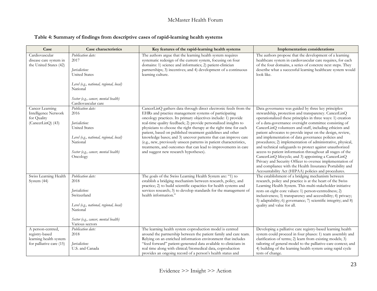#### **Table 4: Summary of findings from descriptive cases of rapid-learning health systems**

| Case                                                                                      | Case characteristics                                                                                                                                                                     | Key features of the rapid-learning health systems                                                                                                                                                                                                                                                                                                                                                                                                                                                                                                                                                                                                    | <b>Implementation considerations</b>                                                                                                                                                                                                                                                                                                                                                                                                                                                                                                                                                                                                                                                                                                                                                                                                                |
|-------------------------------------------------------------------------------------------|------------------------------------------------------------------------------------------------------------------------------------------------------------------------------------------|------------------------------------------------------------------------------------------------------------------------------------------------------------------------------------------------------------------------------------------------------------------------------------------------------------------------------------------------------------------------------------------------------------------------------------------------------------------------------------------------------------------------------------------------------------------------------------------------------------------------------------------------------|-----------------------------------------------------------------------------------------------------------------------------------------------------------------------------------------------------------------------------------------------------------------------------------------------------------------------------------------------------------------------------------------------------------------------------------------------------------------------------------------------------------------------------------------------------------------------------------------------------------------------------------------------------------------------------------------------------------------------------------------------------------------------------------------------------------------------------------------------------|
| Cardiovascular<br>disease care system in<br>the United States (42)                        | Publication date:<br>2017<br>Jurisdiction:<br><b>United States</b><br>Level (e.g., national, regional, local)<br>National<br>Sector (e.g., cancer, mental health)<br>Cardiovascular care | The authors argue that the learning health system requires<br>systematic redesign of the current system, focusing on four<br>domains: 1) science and informatics; 2) patient-clinician<br>partnerships; 3) incentives; and 4) development of a continuous<br>learning culture.                                                                                                                                                                                                                                                                                                                                                                       | The authors propose that the development of a learning<br>healthcare system in cardiovascular care requires, for each<br>of the four domains, a series of concrete next steps. They<br>describe what a successful learning healthcare system would<br>look like.                                                                                                                                                                                                                                                                                                                                                                                                                                                                                                                                                                                    |
| Cancer Learning<br><b>Intelligence Network</b><br>for Quality<br>(CancerLinQ) (43)        | Publication date:<br>2016<br>Jurisdiction:<br><b>United States</b><br>Level (e.g., national, regional, local)<br>National<br>Sector (e.g., cancer, mental health)<br>Oncology            | CancerLinQ gathers data through direct electronic feeds from the<br>EHRs and practice management systems of participating<br>oncology practices. Its primary objectives include: 1) provide<br>real-time quality feedback; 2) provide personalized insights to<br>physicians to choose the right therapy at the right time for each<br>patient, based on published treatment guidelines and other<br>knowledge bases; and 3) uncover patterns that can improve care<br>(e.g., new, previously unseen patterns in patient characteristics,<br>treatments, and outcomes that can lead to improvements in care<br>and suggest new research hypotheses). | Data governance was guided by three key principles:<br>stewardship, protection and transparency. CancerLinQ<br>operationalized these principles in three ways: 1) creation<br>of a data-governance oversight committee consisting of<br>CancerLinQ volunteers and staff, including ethicists and<br>patient advocates to provide input on the design, review,<br>and implementation of data governance policies and<br>procedures; 2) implementation of administrative, physical,<br>and technical safeguards to protect against unauthorized<br>access to patient information throughout all stages of the<br>CancerLinQ lifecycle; and 3) appointing a CancerLinQ<br>Privacy and Security Officer to oversee implementation of<br>and compliance with the Health Insurance Portability and<br>Accountability Act (HIPAA) policies and procedures. |
| Swiss Learning Health<br>System (44)                                                      | Publication date:<br>2018<br>Jurisdiction:<br>Switzerland<br>Level (e.g., national, regional, local)<br>National<br>Sector (e.g., cancer, mental health)<br>Various sectors              | The goals of the Swiss Learning Health System are: "1) to<br>establish a bridging mechanism between research, policy, and<br>practice; 2) to build scientific capacities for health systems and<br>services research; 3) to develop standards for the management of<br>health information."                                                                                                                                                                                                                                                                                                                                                          | The establishment of a bridging mechanism between<br>research, policy and practice is at the heart of the Swiss<br>Learning Health System. This multi-stakeholder initiative<br>rests on eight core values: 1) person-centredness; 2)<br>inclusiveness; 3) transparency and accessibility; 4) privacy;<br>5) adaptability; 6) governance; 7) scientific integrity; and 8)<br>quality and value for all.                                                                                                                                                                                                                                                                                                                                                                                                                                             |
| A person-centred,<br>registry-based<br>learning health system<br>for palliative care (15) | Publication date:<br>2018<br>Jurisdiction:<br>U.S. and Canada                                                                                                                            | The learning health system coproduction model is centred<br>around the partnership between the patient family and care team.<br>Relying on an enriched information environment that includes<br>"feed forward" patient-generated data available to clinicians in<br>real time along with clinical/biomedical data, coproduction<br>provides an ongoing record of a person's health status and                                                                                                                                                                                                                                                        | Developing a palliative care registry-based learning health<br>system could proceed in four phases: 1) team assembly and<br>clarification of terms; 2) learn from existing models; 3)<br>tailoring of general model to the palliative-care context; and<br>4) building of the learning health system using rapid cycle<br>tests of change.                                                                                                                                                                                                                                                                                                                                                                                                                                                                                                          |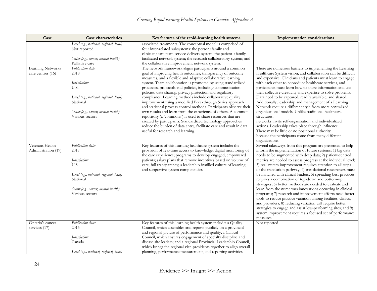| Case                                   | Case characteristics                                                                                                                                                 | Key features of the rapid-learning health systems                                                                                                                                                                                                                                                                                                                                                                                                                                                                                                                                                                                                                                                                                                                                                                                                                                                | <b>Implementation considerations</b>                                                                                                                                                                                                                                                                                                                                                                                                                                                                                                                                                                                                                                                                                                                                                                                                                                                                                                                                |
|----------------------------------------|----------------------------------------------------------------------------------------------------------------------------------------------------------------------|--------------------------------------------------------------------------------------------------------------------------------------------------------------------------------------------------------------------------------------------------------------------------------------------------------------------------------------------------------------------------------------------------------------------------------------------------------------------------------------------------------------------------------------------------------------------------------------------------------------------------------------------------------------------------------------------------------------------------------------------------------------------------------------------------------------------------------------------------------------------------------------------------|---------------------------------------------------------------------------------------------------------------------------------------------------------------------------------------------------------------------------------------------------------------------------------------------------------------------------------------------------------------------------------------------------------------------------------------------------------------------------------------------------------------------------------------------------------------------------------------------------------------------------------------------------------------------------------------------------------------------------------------------------------------------------------------------------------------------------------------------------------------------------------------------------------------------------------------------------------------------|
|                                        | Level (e.g., national, regional, local)<br>Not reported<br>Sector (e.g., cancer, mental health)<br>Palliative care                                                   | associated treatments. The conceptual model is comprised of<br>four inter-related subsystems: the person/family and<br>clinician/care team service-delivery system; the patient-/family-<br>facilitated network system; the research collaboratory system; and<br>the collaborative improvement network system.                                                                                                                                                                                                                                                                                                                                                                                                                                                                                                                                                                                  |                                                                                                                                                                                                                                                                                                                                                                                                                                                                                                                                                                                                                                                                                                                                                                                                                                                                                                                                                                     |
| Learning Networks<br>care centres (16) | Publication date:<br>2018<br>Jurisdiction:<br>U.S.<br>Level (e.g., national, regional, local)<br>National<br>Sector (e.g., cancer, mental health)<br>Various sectors | The network framework aligns participants around a common<br>goal of improving health outcomes, transparency of outcome<br>measures, and a flexible and adaptive collaborative learning<br>system. Team collaboration is promoted by using standardized<br>processes, protocols and policies, including communication<br>policies, data sharing, privacy protection and regulatory<br>compliance. Learning methods include collaborative quality<br>improvement using a modified Breakthrough Series approach<br>and statistical process control methods. Participants observe their<br>own results and learn from the experience of others. A common<br>repository (a 'commons') is used to share resources that are<br>created by participants. Standardized technology approaches<br>reduce the burden of data entry, facilitate care and result in data<br>useful for research and learning. | There are numerous barriers to implementing the Learning<br>Healthcare System vision, and collaboration can be difficult<br>and expensive. Clinicians and patients must learn to engage<br>with each other to coproduce healthcare services, and<br>participants must learn how to share information and use<br>their collective creativity and expertise to solve problems.<br>Data need to be captured, readily available, and shared.<br>Additionally, leadership and management of a Learning<br>Network require a different style from more centralized<br>organizational models. Unlike traditional healthcare<br>structures,<br>networks invite self-organization and individualized<br>actions. Leadership takes place through influence.<br>There may be little or no positional authority<br>because the participants come from many different<br>organizations.                                                                                          |
| Veterans Health<br>Administration (19) | Publication date:<br>2017<br>Jurisdiction:<br>U.S.<br>Level (e.g., national, regional, local)<br>National<br>Sector (e.g., cancer, mental health)<br>Various sectors | Key features of this learning healthcare system include: the<br>provision of real-time access to knowledge; digital monitoring of<br>the care experience; programs to develop engaged, empowered<br>patients; salary plans that remove incentives based on volume of<br>care; full transparency; a leadership-instilled culture of learning;<br>and supportive system competencies.                                                                                                                                                                                                                                                                                                                                                                                                                                                                                                              | Several takeaways from this program are presented to help<br>inform the implementation of future systems: 1) big data<br>needs to be augmented with deep data; 2) patient-centred<br>metrics are needed to assess progress at the individual level;<br>3) real system improvement requires attention to all steps<br>of the translation pathway; 4) translational researchers must<br>be matched with clinical leaders; 5) spreading best practices<br>requires a combination of top-down and bottom-up<br>strategies; 6) better methods are needed to evaluate and<br>learn from the numerous innovations occurring in clinical<br>programs; 7) research and improvement efforts need better<br>tools to reduce practice variation among facilities, clinics,<br>and providers; 8) reducing variation will require better<br>strategies to engage and assist low-performing sites; and 9)<br>system improvement requires a focused set of performance<br>measures. |
| Ontario's cancer<br>services (17)      | Publication date:<br>2015<br>Jurisdiction:<br>Canada<br>Level (e.g., national, regional, local)                                                                      | Key features of this learning health system include: a Quality<br>Council, which assembles and reports publicly on a provincial<br>and regional picture of performance and quality; a Clinical<br>Council, which ensures engagement of specialty discipline and<br>disease site leaders; and a regional Provincial Leadership Council,<br>which brings the regional vice-presidents together to align overall<br>planning, performance measurement, and reporting activities.                                                                                                                                                                                                                                                                                                                                                                                                                    | Not reported                                                                                                                                                                                                                                                                                                                                                                                                                                                                                                                                                                                                                                                                                                                                                                                                                                                                                                                                                        |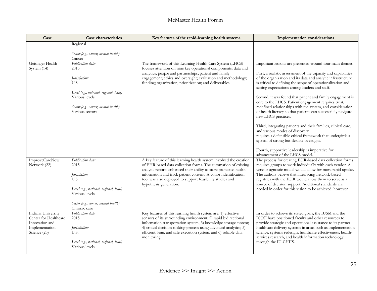| Case                                             | Case characteristics                                      | Key features of the rapid-learning health systems                                                                                                                                                       | <b>Implementation considerations</b>                                                                                                                                                                                                           |
|--------------------------------------------------|-----------------------------------------------------------|---------------------------------------------------------------------------------------------------------------------------------------------------------------------------------------------------------|------------------------------------------------------------------------------------------------------------------------------------------------------------------------------------------------------------------------------------------------|
|                                                  | Regional                                                  |                                                                                                                                                                                                         |                                                                                                                                                                                                                                                |
|                                                  | Sector (e.g., cancer, mental health)<br>Cancer            |                                                                                                                                                                                                         |                                                                                                                                                                                                                                                |
| Geisinger Health<br>System (14)                  | Publication date:<br>2015                                 | The framework of this Learning Health Care System (LHCS)<br>focuses attention on nine key operational components: data and                                                                              | Important lessons are presented around four main themes.                                                                                                                                                                                       |
|                                                  | Jurisdiction:<br>U.S.                                     | analytics; people and partnerships; patient and family<br>engagement; ethics and oversight; evaluation and methodology;<br>funding; organization; prioritization; and deliverables                      | First, a realistic assessment of the capacity and capabilities<br>of the organization and its data and analytic infrastructure<br>is critical to defining the scope of operationalization and<br>setting expectations among leaders and staff. |
|                                                  | Level (e.g., national, regional, local)                   |                                                                                                                                                                                                         |                                                                                                                                                                                                                                                |
|                                                  | Various levels                                            |                                                                                                                                                                                                         | Second, it was found that patient and family engagement is<br>core to the LHCS. Patient engagement requires trust,                                                                                                                             |
|                                                  | Sector (e.g., cancer, mental health)<br>Various sectors   |                                                                                                                                                                                                         | redefined relationships with the system, and consideration<br>of health literacy so that patients can successfully navigate<br>new LHCS practices.                                                                                             |
|                                                  |                                                           |                                                                                                                                                                                                         | Third, integrating patients and their families, clinical care,<br>and various modes of discovery<br>requires a defensible ethical framework that undergirds a<br>system of strong but flexible oversight.                                      |
|                                                  |                                                           |                                                                                                                                                                                                         | Fourth, supportive leadership is imperative for<br>advancement of the LHCS model.                                                                                                                                                              |
| ImproveCareNow<br>Network (22)                   | Publication date:<br>2015                                 | A key feature of this learning health system involved the creation<br>of EHR-based data collection forms. The automation of existing                                                                    | The process for creating EHR-based data collection forms<br>requires groups to work individually with each vendor. A                                                                                                                           |
|                                                  |                                                           | analytic reports enhanced their ability to store protected health                                                                                                                                       | vendor-agnostic model would allow for more rapid uptake.                                                                                                                                                                                       |
|                                                  | Jurisdiction:<br>U.S.                                     | information and track patient consent. A cohort identification<br>tool was also deployed to support feasibility studies and                                                                             | The authors believe that interfacing network-based<br>registries with the EHR would allow them to serve as a                                                                                                                                   |
|                                                  | Level (e.g., national, regional, local)<br>Various levels | hypothesis generation.                                                                                                                                                                                  | source of decision support. Additional standards are<br>needed in order for this vision to be achieved, however.                                                                                                                               |
|                                                  | Sector (e.g., cancer, mental health)                      |                                                                                                                                                                                                         |                                                                                                                                                                                                                                                |
| Indiana University                               | Chronic care<br>Publication date:                         | Key features of this learning health system are: 1) effective                                                                                                                                           | In order to achieve its stated goals, the IUSM and the                                                                                                                                                                                         |
| Center for Healthcare                            | 2015                                                      | sensors of its surrounding environment; 2) rapid bidirectional                                                                                                                                          | ICTSI have positioned faculty and other resources to                                                                                                                                                                                           |
| Innovation and<br>Implementation<br>Science (23) | Jurisdiction:<br>U.S.                                     | information transportation system; 3) knowledge storage system;<br>4) critical decision-making process using advanced analytics; 5)<br>efficient, lean, and safe execution system; and 6) reliable data | provide strategic and operational assistance to its partner<br>healthcare delivery systems in areas such as implementation<br>science, systems redesign, healthcare effectiveness, health-                                                     |
|                                                  | Level (e.g., national, regional, local)<br>Various levels | monitoring.                                                                                                                                                                                             | services research, and health information technology<br>through the IU-CHIIS.                                                                                                                                                                  |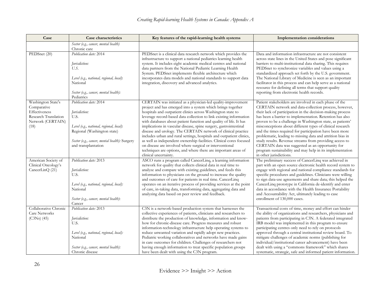| Case                                                                                                    | Case characteristics                                                                                                                                                                               | Key features of the rapid-learning health systems                                                                                                                                                                                                                                                                                                                                                                                                                                                                                                                                                                                                                                                                                                                                 | <b>Implementation considerations</b>                                                                                                                                                                                                                                                                                                                                                                                                                                                                                                                                                                                                                                                                 |
|---------------------------------------------------------------------------------------------------------|----------------------------------------------------------------------------------------------------------------------------------------------------------------------------------------------------|-----------------------------------------------------------------------------------------------------------------------------------------------------------------------------------------------------------------------------------------------------------------------------------------------------------------------------------------------------------------------------------------------------------------------------------------------------------------------------------------------------------------------------------------------------------------------------------------------------------------------------------------------------------------------------------------------------------------------------------------------------------------------------------|------------------------------------------------------------------------------------------------------------------------------------------------------------------------------------------------------------------------------------------------------------------------------------------------------------------------------------------------------------------------------------------------------------------------------------------------------------------------------------------------------------------------------------------------------------------------------------------------------------------------------------------------------------------------------------------------------|
|                                                                                                         | Sector (e.g., cancer, mental health)<br>Chronic care                                                                                                                                               |                                                                                                                                                                                                                                                                                                                                                                                                                                                                                                                                                                                                                                                                                                                                                                                   |                                                                                                                                                                                                                                                                                                                                                                                                                                                                                                                                                                                                                                                                                                      |
| PEDSnet (20)                                                                                            | Publication date: 2014<br>Jurisdiction:<br>U.S.<br>Level (e.g., national, regional, local):<br>National<br>Sector (e.g., cancer, mental health):<br>Pediatrics                                     | PEDSnet is a clinical data research network which provides the<br>infrastructure to support a national pediatrics learning health<br>system. It includes eight academic medical centres and national<br>data partners from the National Pediatric Learning Health<br>System. PEDSnet implements flexible architecture which<br>incorporates data models and national standards to support data<br>integration, discovery and advanced analytics.                                                                                                                                                                                                                                                                                                                                  | Data and information infrastructure are not consistent<br>across state lines in the United States and pose significant<br>barriers to multi-institutional data sharing. This requires<br>PEDSnet to synchronize variables and values using a<br>standardized approach set forth by the U.S. government.<br>The National Library of Medicine is seen as an important<br>facilitator in this process and can help serve as a national<br>resource for defining all terms that support quality<br>reporting from electronic health records.                                                                                                                                                             |
| Washington State's<br>Comparative<br>Effectiveness<br>Research Translation<br>Network (CERTAIN)<br>(18) | Publication date: 2014<br>Jurisdiction:<br>U.S.<br>Level (e.g., national, regional, local):<br>Regional (Washington state)<br>Sector (e.g., cancer, mental health): Surgery<br>and transplantation | CERTAIN was initiated as a physician-led quality-improvement<br>project and has emerged into a system which brings together<br>hospitals and outpatient clinics across Washington state to<br>leverage record-based data collection to link existing information<br>with databases about patient function and quality of life. It has<br>implications in vascular disease, spine surgery, gastrointestinal<br>disease and urology. The CERTAIN network of clinical practice<br>includes urban and rural settings, hospitals and outpatient clinics,<br>as well as independent ownership facilities. Clinical cores focused<br>on disease are involved where surgical or interventional<br>techniques are options, and where there are important areas of<br>clinical uncertainty. | Patient stakeholders are involved in each phase of the<br>CERTAIN network and data-collection process, however,<br>their lack of participation in the decision-making process<br>has been a barrier to implementation. Retention has also<br>proven to be a challenge in Washington state, as patients'<br>misconceptions about different types of clinical research<br>and the times required for participation have been more<br>problematic, leading to missing data and attrition bias in<br>study results. Revenue streams from providing access to<br>CERTAIN data was suggested as an opportunity for<br>program sustainability and may help in its implementation<br>in other jurisdictions. |
| American Society of<br>Clinical Oncology's<br>CancerLinQ (21)                                           | Publication date: 2013<br>Jurisdiction:<br>U.S.<br>Level (e.g., national, regional, local):<br>National<br>Sector (e.g., cancer, mental health):<br>Cancer                                         | ASCO runs a program called CancerLinq, a learning information<br>network for quality that collects clinical data in real time to<br>analyze and compare with existing guidelines, and feeds this<br>information to physicians on the ground to increase the quality<br>and outcomes of care for patients in real time. CancerLinq<br>operates on an iterative process of providing services at the point<br>of care, in-taking data, transforming data, aggregating data and<br>analyzing data based on peer review and feedback.                                                                                                                                                                                                                                                 | The preliminary success of CancerLinq was achieved in<br>part with an open source electronic health record system to<br>engage with regional and national compliance standards for<br>specific procedures and guidelines. Clinicians were willing<br>to sign data-use agreements and share data; this helped the<br>CancerLinq prototype in California de-identify and enter<br>data in accordance with the Health Insurance Portability<br>and Accountability Act, ultimately leading to case<br>enrollment of 130,000 cases.                                                                                                                                                                       |
| Collaborative Chronic<br><b>Care Networks</b><br>$(C3Ns)$ (45)                                          | Publication date: 2013<br>Jurisdiction:<br>U.S.<br>Level (e.g., national, regional, local):<br>National<br>Sector (e.g., cancer, mental health):<br>Chronic disease                                | C3N is a network-based production system that harnesses the<br>collective experiences of patients, clinicians and researchers to<br>distribute the production of knowledge, information and know-<br>how for chronic-disease care. Progress measures and robust<br>information-technology infrastructure help operating systems to<br>reduce unwanted variation and rapidly adopt new practices.<br>Pediatric working collaboratives and networks have made gains<br>in care outcomes for children. Challenges of researchers not<br>having enough information to treat specific population groups<br>have been dealt with using the C3N program.                                                                                                                                 | Transactional costs of time, money and effort can hinder<br>the ability of organizations and researchers, physicians and<br>patients from participating in C3N. A federated integrated<br>IRB model was implemented in this program to ensure<br>participating centres only need to rely on protocols<br>approved through a central institutional review board. To<br>mitigate challenges of academic norms (publishing for<br>individual/institutional career advancement) have been<br>dealt with using a "commons framework" which shares<br>systematic, strategic, safe and informed patient information.                                                                                        |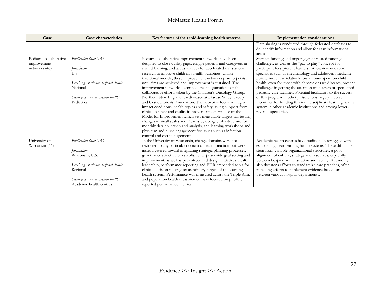| Case                                                    | Case characteristics                                                                                                                                                                   | Key features of the rapid-learning health systems                                                                                                                                                                                                                                                                                                                                                                                                                                                                                                                                                                                                                                                                                                                                                                                                                                                                                                                                                                                                               | <b>Implementation considerations</b>                                                                                                                                                                                                                                                                                                                                                                                                                                                                                                                                                                                                                                                                           |
|---------------------------------------------------------|----------------------------------------------------------------------------------------------------------------------------------------------------------------------------------------|-----------------------------------------------------------------------------------------------------------------------------------------------------------------------------------------------------------------------------------------------------------------------------------------------------------------------------------------------------------------------------------------------------------------------------------------------------------------------------------------------------------------------------------------------------------------------------------------------------------------------------------------------------------------------------------------------------------------------------------------------------------------------------------------------------------------------------------------------------------------------------------------------------------------------------------------------------------------------------------------------------------------------------------------------------------------|----------------------------------------------------------------------------------------------------------------------------------------------------------------------------------------------------------------------------------------------------------------------------------------------------------------------------------------------------------------------------------------------------------------------------------------------------------------------------------------------------------------------------------------------------------------------------------------------------------------------------------------------------------------------------------------------------------------|
|                                                         |                                                                                                                                                                                        |                                                                                                                                                                                                                                                                                                                                                                                                                                                                                                                                                                                                                                                                                                                                                                                                                                                                                                                                                                                                                                                                 | Data sharing is conducted through federated databases to<br>de-identify information and allow for easy informational<br>access.                                                                                                                                                                                                                                                                                                                                                                                                                                                                                                                                                                                |
| Pediatric collaborative<br>improvement<br>networks (46) | Publication date: 2013<br>Jurisdiction:<br>U.S.<br>Level (e.g., national, regional, local):<br>National<br>Sector (e.g., cancer, mental health):<br>Pediatrics                         | Pediatric collaborative improvement networks have been<br>designed to close quality gaps, engage patients and caregivers in<br>shared learning, and act as sources for accelerated translational<br>research to improve children's health outcomes. Unlike<br>traditional models, these improvement networks plan to persist<br>until aims are achieved and improvement is sustained. The<br>improvement networks described are amalgamations of the<br>collaborative efforts taken by the Children's Oncology Group,<br>Northern New England Cardiovascular Disease Study Group<br>and Cystic Fibrosis Foundation. The networks focus on: high-<br>impact conditions; health topics and safety issues; support from<br>clinical content and quality improvement experts; use of the<br>Model for Improvement which sets measurable targets for testing<br>changes in small scales and "learns by doing"; infrastructure for<br>monthly data collection and analysis; and learning workshops and<br>physician and nurse engagement for issues such as infection | Start-up funding and ongoing grant-related funding<br>challenges, as well as the "pay to play" concept for<br>participant fees present barriers for low-revenue sub-<br>specialties such as rheumatology and adolescent medicine.<br>Furthermore, the relatively low amount spent on child<br>health, even for those with chronic or rare diseases, present<br>challenges in getting the attention of insurers or specialized<br>pediatric-care facilities. Potential facilitators to the success<br>of this program in other jurisdictions largely involve<br>incentives for funding this multidisciplinary learning health<br>system in other academic institutions and among lower-<br>revenue specialties. |
| University of<br>Wisconsin (46)                         | Publication date: 2017<br>Jurisdiction:<br>Wisconsin, U.S.<br>Level (e.g., national, regional, local):<br>Regional<br>Sector (e.g., cancer, mental health):<br>Academic health centres | control and diet management.<br>In the University of Wisconsin, change domains were not<br>restricted to any particular domain of health practice, but were<br>instead catered toward integrating strategic planning processes,<br>governance structure to establish enterprise-wide goal setting and<br>improvement, as well as patient-centred design initiatives, health<br>leadership, performance reporting and EHR-embedded tools for<br>clinical decision-making set as primary targets of the learning<br>health system. Performance was measured across the Triple Aim,<br>and population health measurement was focused on publicly<br>reported performance metrics.                                                                                                                                                                                                                                                                                                                                                                                  | Academic health centres have traditionally struggled with<br>establishing clear learning health systems. These difficulties<br>stem from variable organizational structures, a poor<br>alignment of culture, strategy and resources, especially<br>between hospital administration and faculty. Autonomy<br>also threatens efforts to standardize care practices, often<br>impeding efforts to implement evidence-based care<br>between various hospital departments.                                                                                                                                                                                                                                          |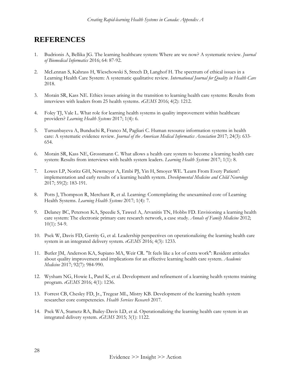#### **REFERENCES**

- 1. Budrionis A, Bellika JG. The learning healthcare system: Where are we now? A systematic review. *Journal of Biomedical Informatics* 2016; 64: 87-92.
- 2. McLennan S, Kahrass H, Wieschowski S, Strech D, Langhof H. The spectrum of ethical issues in a Learning Health Care System: A systematic qualitative review. *International Journal for Quality in Health Care* 2018.
- 3. Morain SR, Kass NE. Ethics issues arising in the transition to learning health care systems: Results from interviews with leaders from 25 health systems. *eGEMS* 2016; 4(2): 1212.
- 4. Foley TJ, Vale L. What role for learning health systems in quality improvement within healthcare providers? *Learning Health Systems* 2017; 1(4): 6.
- 5. Tursunbayeva A, Bunduchi R, Franco M, Pagliari C. Human resource information systems in health care: A systematic evidence review. *Journal of the American Medical Informatics Association* 2017; 24(3): 633- 654.
- 6. Morain SR, Kass NE, Grossmann C. What allows a health care system to become a learning health care system: Results from interviews with health system leaders. *Learning Health Systems* 2017; 1(1): 8.
- 7. Lowes LP, Noritz GH, Newmeyer A, Embi PJ, Yin H, Smoyer WE. 'Learn From Every Patient': implementation and early results of a learning health system. *Developmental Medicine and Child Neurology* 2017; 59(2): 183-191.
- 8. Potts J, Thompson R, Merchant R, et al. Learning: Contemplating the unexamined core of Learning Health Systems. *Learning Health Systems* 2017; 1(4): 7.
- 9. Delaney BC, Peterson KA, Speedie S, Taweel A, Arvanitis TN, Hobbs FD. Envisioning a learning health care system: The electronic primary care research network, a case study. *Annals of Family Medicine* 2012; 10(1): 54-9.
- 10. Psek W, Davis FD, Gerrity G, et al. Leadership perspectives on operationalizing the learning health care system in an integrated delivery system. *eGEMS* 2016; 4(3): 1233.
- 11. Butler JM, Anderson KA, Supiano MA, Weir CR. "It feels like a lot of extra work": Resident attitudes about quality improvement and implications for an effective learning health care system. *Academic Medicine* 2017; 92(7): 984-990.
- 12. Wysham NG, Howie L, Patel K, et al. Development and refinement of a learning health systems training program. *eGEMS* 2016; 4(1): 1236.
- 13. Forrest CB, Chesley FD, Jr., Tregear ML, Mistry KB. Development of the learning health system researcher core competencies. *Health Services Research* 2017.
- 14. Psek WA, Stametz RA, Bailey-Davis LD, et al. Operationalizing the learning health care system in an integrated delivery system. *eGEMS* 2015; 3(1): 1122.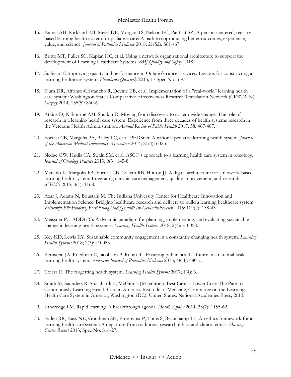- 15. Kamal AH, Kirkland KB, Meier DE, Morgan TS, Nelson EC, Pantilat SZ. A person-centered, registrybased learning health system for palliative care: A path to coproducing better outcomes, experience, value, and science. *Journal of Palliative Medicine* 2018; 21(S2): S61-s67.
- 16. Britto MT, Fuller SC, Kaplan HC, et al. Using a network organisational architecture to support the development of Learning Healthcare Systems. *BMJ Quality and Safety* 2018.
- 17. Sullivan T. Improving quality and performance in Ontario's cancer services: Lessons for constructing a learning healthcare system. *Healthcare Quarterly* 2015; 17 Spec No: 5-9.
- 18. Flum DR, Alfonso-Cristancho R, Devine EB, et al. Implementation of a "real-world" learning health care system: Washington State's Comparative Effectiveness Research Translation Network (CERTAIN). *Surgery* 2014; 155(5): 860-6.
- 19. Atkins D, Kilbourne AM, Shulkin D. Moving from discovery to system-wide change: The role of research in a learning health care system: Experience from three decades of health systems research in the Veterans Health Administration. *Annual Review of Public Health* 2017; 38: 467-487.
- 20. Forrest CB, Margolis PA, Bailey LC, et al. PEDSnet: A national pediatric learning health system. *Journal of the American Medical Informatics Association* 2014; 21(4): 602-6.
- 21. Sledge GW, Hudis CA, Swain SM, et al. ASCO's approach to a learning health care system in oncology. *Journal of Oncology Practice* 2013; 9(3): 145-8.
- 22. Marsolo K, Margolis PA, Forrest CB, Colletti RB, Hutton JJ. A digital architecture for a network-based learning health system: Integrating chronic care management, quality improvement, and research. *eGEMS* 2015; 3(1): 1168.
- 23. Azar J, Adams N, Boustani M. The Indiana University Center for Healthcare Innovation and Implementation Science: Bridging healthcare research and delivery to build a learning healthcare system. *Zeitschrift Für Evidenz, Fortbildung Und Qualität Im Gesundheitswesen* 2015; 109(2): 138-43.
- 24. Meissner P. LADDERS: A dynamic paradigm for planning, implementing, and evaluating sustainable change in learning health systems. *Learning Health Systems* 2018; 2(3): e10058.
- 25. Key KD, Lewis EY. Sustainable community engagement in a constantly changing health system. *Learning Health Systems* 2018; 2(3): e10053.
- 26. Bernstein JA, Friedman C, Jacobson P, Rubin JC. Ensuring public health's future in a national-scale learning health system. *American Journal of Preventive Medicine* 2015; 48(4): 480-7.
- 27. Coiera E. The forgetting health system. *Learning Health Systems* 2017; 1(4): 6.
- 28. Smith M, Saunders R, Stuckhardt L, McGinnis JM (editors). Best Care at Lower Cost: The Path to Continuously Learning Health Care in America. Institude of Medicine, Committee on the Learning Health Care System in America, Washington (DC), United States: National Academies Press; 2013.
- 29. Etheredge LM. Rapid learning: A breakthrough agenda. *Health Affairs* 2014; 33(7): 1155-62.
- 30. Faden RR, Kass NE, Goodman SN, Pronovost P, Tunis S, Beauchamp TL. An ethics framework for a learning health care system: A departure from traditional research ethics and clinical ethics. *Hastings Center Report* 2013; Spec No: S16-27.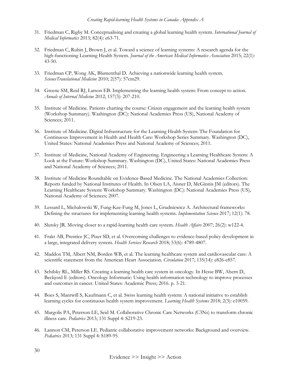- 31. Friedman C, Rigby M. Conceptualising and creating a global learning health system. *International Journal of Medical Informatics* 2013; 82(4): e63-71.
- 32. Friedman C, Rubin J, Brown J, et al. Toward a science of learning systems: A research agenda for the high-functioning Learning Health System. *Journal of the American Medical Informatics Association* 2015; 22(1): 43-50.
- 33. Friedman CP, Wong AK, Blumenthal D. Achieving a nationwide learning health system. *ScienceTranslational Medicine* 2010; 2(57): 57cm29.
- 34. Greene SM, Reid RJ, Larson EB. Implementing the learning health system: From concept to action. *Annals of Internal Medicine* 2012; 157(3): 207-210.
- 35. Institute of Medicine. Patients charting the course: Citizen engagement and the learning health system (Workshop Summary). Washington (DC): National Academies Press (US), National Academy of Sciences; 2011.
- 36. Institute of Medicine. Digital Infrastructure for the Learning Health System: The Foundation for Continuous Improvement in Health and Health Care: Workshop Series Summary. Washington (DC), United States: National Academies Press and National Academy of Sciences; 2011.
- 37. Institute of Medicine, National Academy of Engineering. Engineering a Learning Healthcare System: A Look at the Future: Workshop Summary. Washington (DC), United States: National Academies Press and National Academy of Sciences; 2011.
- 38. Institute of Medicine Roundtable on Evidence-Based Medicine. The National Academies Collection: Reports funded by National Institutes of Health. In Olsen LA, Aisner D, McGinnis JM (editors). The Learning Healthcare System: Workshop Summary. Washington (DC): National Academies Press (US), National Academy of Sciences; 2007.
- 39. Lessard L, Michalowski W, Fung-Kee-Fung M, Jones L, Grudniewicz A. Architectural frameworks: Defining the structures for implementing learning health systems. *Implementation Science* 2017; 12(1): 78.
- 40. Slutsky JR. Moving closer to a rapid-learning health care system. *Health Affairs* 2007; 26(2): w122-4.
- 41. Frakt AB, Prentice JC, Pizer SD, et al. Overcoming challenges to evidence-based policy development in a large, integrated delivery system. *Health Services Research* 2018; 53(6): 4789-4807.
- 42. Maddox TM, Albert NM, Borden WB, et al. The learning healthcare system and cardiovascular care: A scientific statement from the American Heart Association. *Circulation* 2017; 135(14): e826-e857.
- 43. Schilsky RL, Miller RS. Creating a learning health care system in oncology. In Hesse BW, Ahern D, Beckjord E (editors). Oncology Informatic: Using health information technology to improve processes and outcomes in cancer. United States: Academic Press; 2016. p. 3-21.
- 44. Boes S, Mantwill S, Kaufmann C, et al. Swiss learning health system: A national initiative to establish learning cycles for continuous health system improvement. *Learning Health Systems* 2018; 2(3): e10059.
- 45. Margolis PA, Peterson LE, Seid M. Collaborative Chronic Care Networks (C3Ns) to transform chronic illness care. *Pediatrics* 2013; 131 Suppl 4: S219-23.
- 46. Lannon CM, Peterson LE. Pediatric collaborative improvement networks: Background and overview. *Pediatrics* 2013; 131 Suppl 4: S189-95.